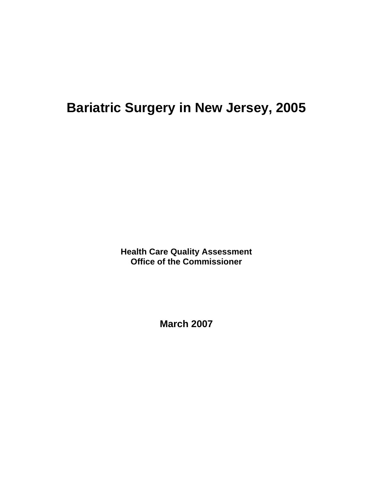# **Bariatric Surgery in New Jersey, 2005**

**Health Care Quality Assessment Office of the Commissioner** 

**March 2007**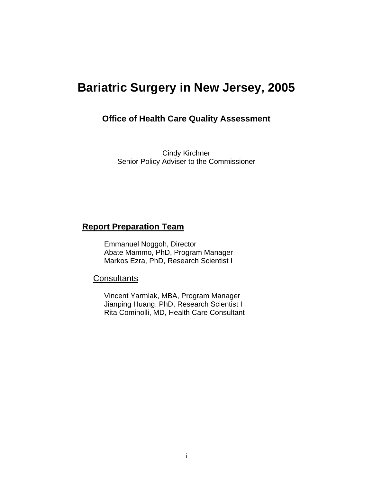# **Bariatric Surgery in New Jersey, 2005**

#### **Office of Health Care Quality Assessment**

Cindy Kirchner Senior Policy Adviser to the Commissioner

## **Report Preparation Team**

Emmanuel Noggoh, Director Abate Mammo, PhD, Program Manager Markos Ezra, PhD, Research Scientist I

#### **Consultants**

Vincent Yarmlak, MBA, Program Manager Jianping Huang, PhD, Research Scientist I Rita Cominolli, MD, Health Care Consultant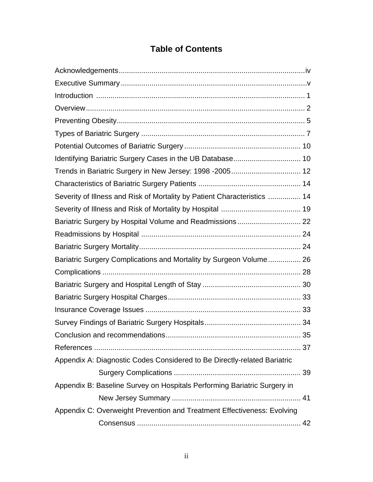# **Table of Contents**

| Identifying Bariatric Surgery Cases in the UB Database 10                |  |
|--------------------------------------------------------------------------|--|
| Trends in Bariatric Surgery in New Jersey: 1998 -2005 12                 |  |
|                                                                          |  |
| Severity of Illness and Risk of Mortality by Patient Characteristics  14 |  |
|                                                                          |  |
|                                                                          |  |
|                                                                          |  |
|                                                                          |  |
| Bariatric Surgery Complications and Mortality by Surgeon Volume 26       |  |
|                                                                          |  |
|                                                                          |  |
|                                                                          |  |
|                                                                          |  |
|                                                                          |  |
|                                                                          |  |
|                                                                          |  |
| Appendix A: Diagnostic Codes Considered to Be Directly-related Bariatric |  |
|                                                                          |  |
| Appendix B: Baseline Survey on Hospitals Performing Bariatric Surgery in |  |
|                                                                          |  |
| Appendix C: Overweight Prevention and Treatment Effectiveness: Evolving  |  |
|                                                                          |  |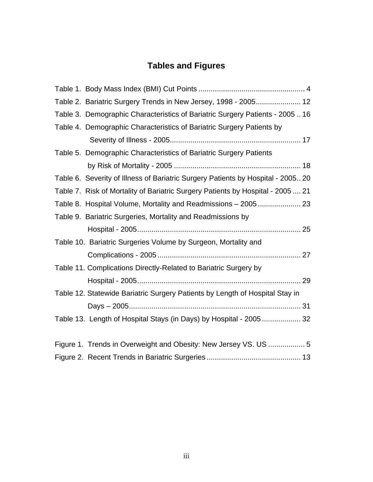# **Tables and Figures**

| Table 2. Bariatric Surgery Trends in New Jersey, 1998 - 2005 12                  |
|----------------------------------------------------------------------------------|
| Table 3. Demographic Characteristics of Bariatric Surgery Patients - 200516      |
| Table 4. Demographic Characteristics of Bariatric Surgery Patients by            |
|                                                                                  |
| Table 5. Demographic Characteristics of Bariatric Surgery Patients               |
|                                                                                  |
| Table 6. Severity of Illness of Bariatric Surgery Patients by Hospital - 2005 20 |
| Table 7. Risk of Mortality of Bariatric Surgery Patients by Hospital - 2005  21  |
| Table 8. Hospital Volume, Mortality and Readmissions - 2005  23                  |
| Table 9. Bariatric Surgeries, Mortality and Readmissions by                      |
|                                                                                  |
| Table 10. Bariatric Surgeries Volume by Surgeon, Mortality and                   |
|                                                                                  |
| Table 11. Complications Directly-Related to Bariatric Surgery by                 |
|                                                                                  |
| Table 12. Statewide Bariatric Surgery Patients by Length of Hospital Stay in     |
|                                                                                  |
| Table 13. Length of Hospital Stays (in Days) by Hospital - 2005 32               |
|                                                                                  |
| Figure 1. Trends in Overweight and Obesity: New Jersey VS. US  5                 |
|                                                                                  |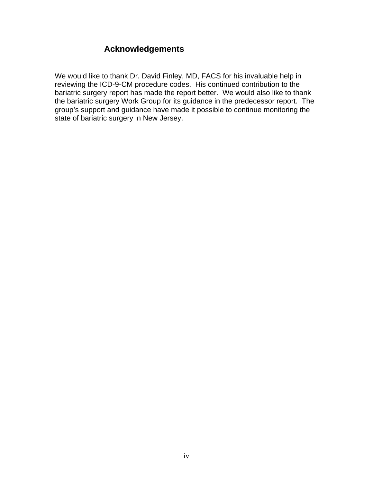# **Acknowledgements**

We would like to thank Dr. David Finley, MD, FACS for his invaluable help in reviewing the ICD-9-CM procedure codes. His continued contribution to the bariatric surgery report has made the report better. We would also like to thank the bariatric surgery Work Group for its guidance in the predecessor report. The group's support and guidance have made it possible to continue monitoring the state of bariatric surgery in New Jersey.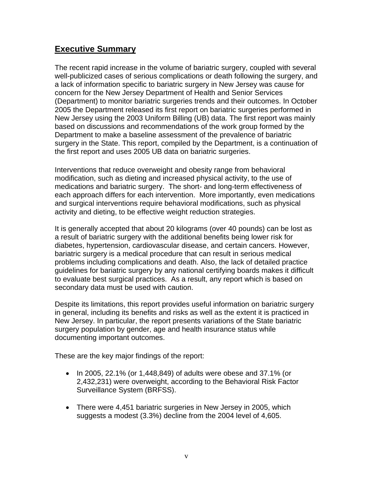### **Executive Summary**

The recent rapid increase in the volume of bariatric surgery, coupled with several well-publicized cases of serious complications or death following the surgery, and a lack of information specific to bariatric surgery in New Jersey was cause for concern for the New Jersey Department of Health and Senior Services (Department) to monitor bariatric surgeries trends and their outcomes. In October 2005 the Department released its first report on bariatric surgeries performed in New Jersey using the 2003 Uniform Billing (UB) data. The first report was mainly based on discussions and recommendations of the work group formed by the Department to make a baseline assessment of the prevalence of bariatric surgery in the State. This report, compiled by the Department, is a continuation of the first report and uses 2005 UB data on bariatric surgeries.

Interventions that reduce overweight and obesity range from behavioral modification, such as dieting and increased physical activity, to the use of medications and bariatric surgery. The short- and long-term effectiveness of each approach differs for each intervention. More importantly, even medications and surgical interventions require behavioral modifications, such as physical activity and dieting, to be effective weight reduction strategies.

It is generally accepted that about 20 kilograms (over 40 pounds) can be lost as a result of bariatric surgery with the additional benefits being lower risk for diabetes, hypertension, cardiovascular disease, and certain cancers. However, bariatric surgery is a medical procedure that can result in serious medical problems including complications and death. Also, the lack of detailed practice guidelines for bariatric surgery by any national certifying boards makes it difficult to evaluate best surgical practices. As a result, any report which is based on secondary data must be used with caution.

Despite its limitations, this report provides useful information on bariatric surgery in general, including its benefits and risks as well as the extent it is practiced in New Jersey. In particular, the report presents variations of the State bariatric surgery population by gender, age and health insurance status while documenting important outcomes.

These are the key major findings of the report:

- In 2005, 22.1% (or 1,448,849) of adults were obese and 37.1% (or 2,432,231) were overweight, according to the Behavioral Risk Factor Surveillance System (BRFSS).
- There were 4,451 bariatric surgeries in New Jersey in 2005, which suggests a modest (3.3%) decline from the 2004 level of 4,605.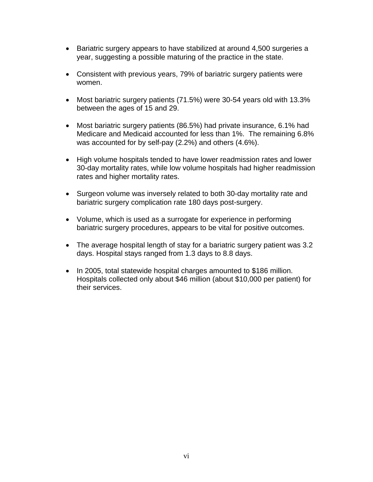- Bariatric surgery appears to have stabilized at around 4,500 surgeries a year, suggesting a possible maturing of the practice in the state.
- Consistent with previous years, 79% of bariatric surgery patients were women.
- Most bariatric surgery patients (71.5%) were 30-54 years old with 13.3% between the ages of 15 and 29.
- Most bariatric surgery patients (86.5%) had private insurance, 6.1% had Medicare and Medicaid accounted for less than 1%. The remaining 6.8% was accounted for by self-pay (2.2%) and others (4.6%).
- High volume hospitals tended to have lower readmission rates and lower 30-day mortality rates, while low volume hospitals had higher readmission rates and higher mortality rates.
- Surgeon volume was inversely related to both 30-day mortality rate and bariatric surgery complication rate 180 days post-surgery.
- Volume, which is used as a surrogate for experience in performing bariatric surgery procedures, appears to be vital for positive outcomes.
- The average hospital length of stay for a bariatric surgery patient was 3.2 days. Hospital stays ranged from 1.3 days to 8.8 days.
- In 2005, total statewide hospital charges amounted to \$186 million. Hospitals collected only about \$46 million (about \$10,000 per patient) for their services.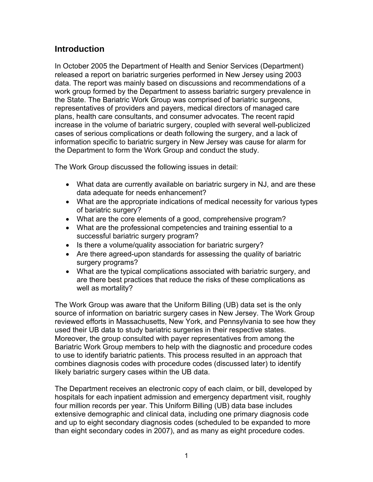## **Introduction**

In October 2005 the Department of Health and Senior Services (Department) released a report on bariatric surgeries performed in New Jersey using 2003 data. The report was mainly based on discussions and recommendations of a work group formed by the Department to assess bariatric surgery prevalence in the State. The Bariatric Work Group was comprised of bariatric surgeons, representatives of providers and payers, medical directors of managed care plans, health care consultants, and consumer advocates. The recent rapid increase in the volume of bariatric surgery, coupled with several well-publicized cases of serious complications or death following the surgery, and a lack of information specific to bariatric surgery in New Jersey was cause for alarm for the Department to form the Work Group and conduct the study.

The Work Group discussed the following issues in detail:

- What data are currently available on bariatric surgery in NJ, and are these data adequate for needs enhancement?
- What are the appropriate indications of medical necessity for various types of bariatric surgery?
- What are the core elements of a good, comprehensive program?
- What are the professional competencies and training essential to a successful bariatric surgery program?
- Is there a volume/quality association for bariatric surgery?
- Are there agreed-upon standards for assessing the quality of bariatric surgery programs?
- What are the typical complications associated with bariatric surgery, and are there best practices that reduce the risks of these complications as well as mortality?

The Work Group was aware that the Uniform Billing (UB) data set is the only source of information on bariatric surgery cases in New Jersey. The Work Group reviewed efforts in Massachusetts, New York, and Pennsylvania to see how they used their UB data to study bariatric surgeries in their respective states. Moreover, the group consulted with payer representatives from among the Bariatric Work Group members to help with the diagnostic and procedure codes to use to identify bariatric patients. This process resulted in an approach that combines diagnosis codes with procedure codes (discussed later) to identify likely bariatric surgery cases within the UB data.

The Department receives an electronic copy of each claim, or bill, developed by hospitals for each inpatient admission and emergency department visit, roughly four million records per year. This Uniform Billing (UB) data base includes extensive demographic and clinical data, including one primary diagnosis code and up to eight secondary diagnosis codes (scheduled to be expanded to more than eight secondary codes in 2007), and as many as eight procedure codes.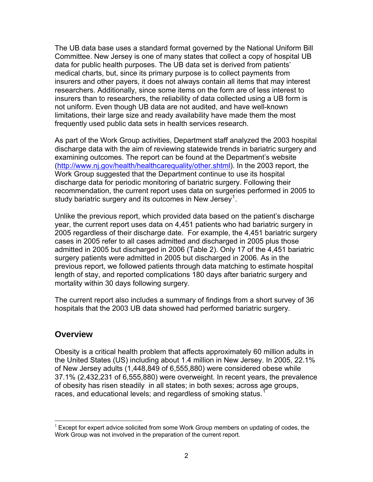The UB data base uses a standard format governed by the National Uniform Bill Committee. New Jersey is one of many states that collect a copy of hospital UB data for public health purposes. The UB data set is derived from patients' medical charts, but, since its primary purpose is to collect payments from insurers and other payers, it does not always contain all items that may interest researchers. Additionally, since some items on the form are of less interest to insurers than to researchers, the reliability of data collected using a UB form is not uniform. Even though UB data are not audited, and have well-known limitations, their large size and ready availability have made them the most frequently used public data sets in health services research.

As part of the Work Group activities, Department staff analyzed the 2003 hospital discharge data with the aim of reviewing statewide trends in bariatric surgery and examining outcomes. The report can be found at the Department's website (<http://www.nj.gov/health/healthcarequality/other.shtml>). In the 2003 report, the Work Group suggested that the Department continue to use its hospital discharge data for periodic monitoring of bariatric surgery. Following their recommendation, the current report uses data on surgeries performed in 2005 to study bariatric surgery and its outcomes in New Jersey<sup>[1](#page-8-0)</sup>.

Unlike the previous report, which provided data based on the patient's discharge year, the current report uses data on 4,451 patients who had bariatric surgery in 2005 regardless of their discharge date. For example, the 4,451 bariatric surgery cases in 2005 refer to all cases admitted and discharged in 2005 plus those admitted in 2005 but discharged in 2006 (Table 2). Only 17 of the 4,451 bariatric surgery patients were admitted in 2005 but discharged in 2006. As in the previous report, we followed patients through data matching to estimate hospital length of stay, and reported complications 180 days after bariatric surgery and mortality within 30 days following surgery.

The current report also includes a summary of findings from a short survey of 36 hospitals that the 2003 UB data showed had performed bariatric surgery.

#### **Overview**

 $\overline{a}$ 

Obesity is a critical health problem that affects approximately 60 million adults in the United States (US) including about 1.4 million in New Jersey. In 2005, 22.1% of New Jersey adults (1,448,849 of 6,555,880) were considered obese while 37.1% (2,432,231 of 6,555,880) were overweight. In recent years, the prevalence of obesity has risen steadily in all states; in both sexes; across age groups, races, and educational levels; and regardless of smoking status. $1$ 

<span id="page-8-0"></span> $<sup>1</sup>$  Except for expert advice solicited from some Work Group members on updating of codes, the</sup> Work Group was not involved in the preparation of the current report.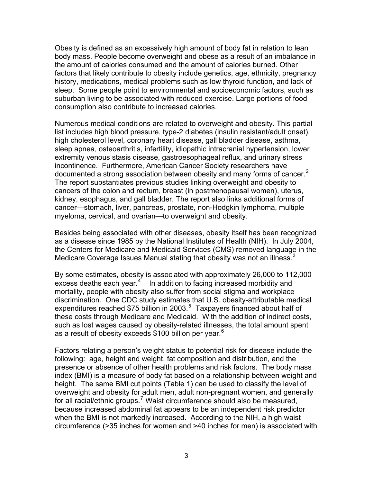Obesity is defined as an excessively high amount of body fat in relation to lean body mass. People become overweight and obese as a result of an imbalance in the amount of calories consumed and the amount of calories burned. Other factors that likely contribute to obesity include genetics, age, ethnicity, pregnancy history, medications, medical problems such as low thyroid function, and lack of sleep. Some people point to environmental and socioeconomic factors, such as suburban living to be associated with reduced exercise. Large portions of food consumption also contribute to increased calories.

Numerous medical conditions are related to overweight and obesity. This partial list includes high blood pressure, type-2 diabetes (insulin resistant/adult onset), high cholesterol level, coronary heart disease, gall bladder disease, asthma, sleep apnea, osteoarthritis, infertility, idiopathic intracranial hypertension, lower extremity venous stasis disease, gastroesophageal reflux, and urinary stress incontinence. Furthermore, American Cancer Society researchers have documented a strong association between obesity and many forms of cancer.<sup>[2](#page-44-1)</sup> The report substantiates previous studies linking overweight and obesity to cancers of the colon and rectum, breast (in postmenopausal women), uterus, kidney, esophagus, and gall bladder. The report also links additional forms of cancer—stomach, liver, pancreas, prostate, non-Hodgkin lymphoma, multiple myeloma, cervical, and ovarian—to overweight and obesity.

Besides being associated with other diseases, obesity itself has been recognized as a disease since 1985 by the National Institutes of Health (NIH). In July 2004, the Centers for Medicare and Medicaid Services (CMS) removed language in the Medicare Coverage Issues Manual stating that obesity was not an illness.<sup>[3](#page-44-1)</sup>

By some estimates, obesity is associated with approximately 26,000 to 112,000 excess deaths each year. $4$  In addition to facing increased morbidity and mortality, people with obesity also suffer from social stigma and workplace discrimination. One CDC study estimates that U.S. obesity-attributable medical expenditures reached \$7[5](#page-44-1) billion in 2003. $5$  Taxpayers financed about half of these costs through Medicare and Medicaid. With the addition of indirect costs, such as lost wages caused by obesity-related illnesses, the total amount spent as a result of obesity exceeds \$100 billion per year.<sup>[6](#page-44-1)</sup>

Factors relating a person's weight status to potential risk for disease include the following: age, height and weight, fat composition and distribution, and the presence or absence of other health problems and risk factors. The body mass index (BMI) is a measure of body fat based on a relationship between weight and height. The same BMI cut points (Table 1) can be used to classify the level of overweight and obesity for adult men, adult non-pregnant women, and generally for all racial/ethnic groups.<sup>[7](#page-44-1)</sup> Waist circumference should also be measured, because increased abdominal fat appears to be an independent risk predictor when the BMI is not markedly increased. According to the NIH, a high waist circumference (>35 inches for women and >40 inches for men) is associated with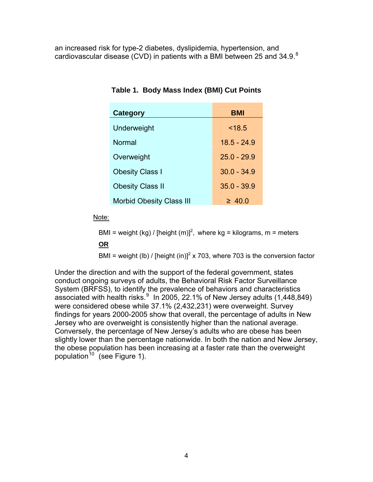an increased risk for type-2 diabetes, dyslipidemia, hypertension, and cardiovascular disease (CVD) in patients with a BMI between 25 and 34.9.[8](#page-44-1)

| <b>Category</b>                 | BMI           |
|---------------------------------|---------------|
| Underweight                     | < 18.5        |
| Normal                          | $18.5 - 24.9$ |
| Overweight                      | $25.0 - 29.9$ |
| <b>Obesity Class I</b>          | $30.0 - 34.9$ |
| <b>Obesity Class II</b>         | $35.0 - 39.9$ |
| <b>Morbid Obesity Class III</b> | $\geq 40.0$   |

**Table 1. Body Mass Index (BMI) Cut Points** 

Note:

BMI = weight (kg) / [height (m)]<sup>2</sup>, where kg = kilograms, m = meters

**OR**

BMI = weight (lb) / [height (in)]<sup>2</sup> x 703, where 703 is the conversion factor

Under the direction and with the support of the federal government, states conduct ongoing surveys of adults, the Behavioral Risk Factor Surveillance System (BRFSS), to identify the prevalence of behaviors and characteristics associated with health risks. $9 \ln 2005$  $9 \ln 2005$ , 22.1% of New Jersey adults (1,448,849) were considered obese while 37.1% (2,432,231) were overweight. Survey findings for years 2000-2005 show that overall, the percentage of adults in New Jersey who are overweight is consistently higher than the national average. Conversely, the percentage of New Jersey's adults who are obese has been slightly lower than the percentage nationwide. In both the nation and New Jersey, the obese population has been increasing at a faster rate than the overweight population<sup>[10](#page-44-1)</sup> (see Figure 1).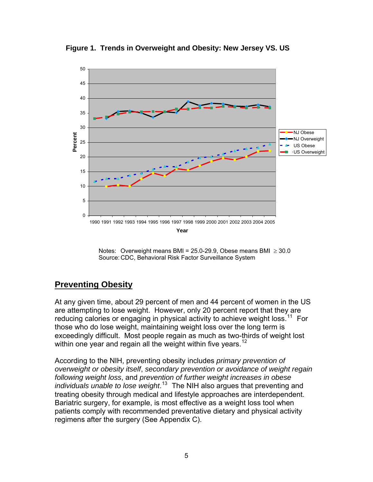

**Figure 1. Trends in Overweight and Obesity: New Jersey VS. US** 

Notes: Overweight means BMI = 25.0-29.9, Obese means BMI  $\geq$  30.0 Source: CDC, Behavioral Risk Factor Surveillance System

## **Preventing Obesity**

At any given time, about 29 percent of men and 44 percent of women in the US are attempting to lose weight. However, only 20 percent report that they are reducing calories or engaging in physical activity to achieve weight loss.<sup>[11](#page-44-1)</sup> For those who do lose weight, maintaining weight loss over the long term is exceedingly difficult. Most people regain as much as two-thirds of weight lost within one year and regain all the weight within five years.<sup>[12](#page-44-1)</sup>

According to the NIH, preventing obesity includes *primary prevention of overweight or obesity itself*, *secondary prevention or avoidance of weight regain following weight loss*, and *prevention of further weight increases in obese individuals unable to lose weight*. [13](#page-44-1) The NIH also argues that preventing and treating obesity through medical and lifestyle approaches are interdependent. Bariatric surgery, for example, is most effective as a weight loss tool when patients comply with recommended preventative dietary and physical activity regimens after the surgery (See Appendix C).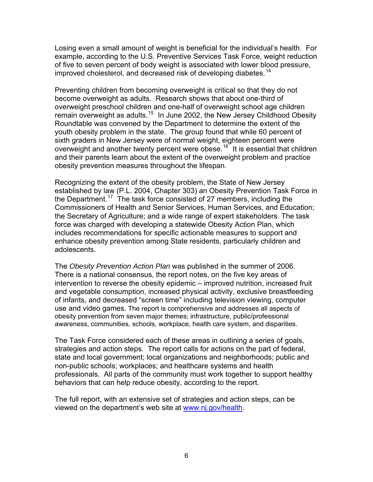Losing even a small amount of weight is beneficial for the individual's health. For example, according to the U.S. Preventive Services Task Force, weight reduction of five to seven percent of body weight is associated with lower blood pressure, improved cholesterol, and decreased risk of developing diabetes.<sup>[14](#page-44-1)</sup>

Preventing children from becoming overweight is critical so that they do not become overweight as adults. Research shows that about one-third of overweight preschool children and one-half of overweight school age children remain overweight as adults.<sup>[15](#page-44-1)</sup> In June 2002, the New Jersey Childhood Obesity Roundtable was convened by the Department to determine the extent of the youth obesity problem in the state. The group found that while 60 percent of sixth graders in New Jersey were of normal weight, eighteen percent were overweight and another twenty percent were obese.<sup>[16](#page-44-1)</sup> It is essential that children and their parents learn about the extent of the overweight problem and practice obesity prevention measures throughout the lifespan.

Recognizing the extent of the obesity problem, the State of New Jersey established by law (P.L. 2004, Chapter 303) an Obesity Prevention Task Force in the Department.<sup>[17](#page-44-1)</sup> The task force consisted of 27 members, including the Commissioners of Health and Senior Services, Human Services, and Education; the Secretary of Agriculture; and a wide range of expert stakeholders. The task force was charged with developing a statewide Obesity Action Plan, which includes recommendations for specific actionable measures to support and enhance obesity prevention among State residents, particularly children and adolescents.

The *Obesity Prevention Action Plan* was published in the summer of 2006. There is a national consensus, the report notes, on the five key areas of intervention to reverse the obesity epidemic – improved nutrition, increased fruit and vegetable consumption, increased physical activity, exclusive breastfeeding of infants, and decreased "screen time" including television viewing, computer use and video games. The report is comprehensive and addresses all aspects of obesity prevention from seven major themes; infrastructure, public/professional awareness, communities, schools, workplace, health care system, and disparities.

The Task Force considered each of these areas in outlining a series of goals, strategies and action steps. The report calls for actions on the part of federal, state and local government; local organizations and neighborhoods; public and non-public schools; workplaces; and healthcare systems and health professionals. All parts of the community must work together to support healthy behaviors that can help reduce obesity, according to the report.

The full report, with an extensive set of strategies and action steps, can be viewed on the department's web site at [www.nj.gov/health](http://www.nj.gov/health).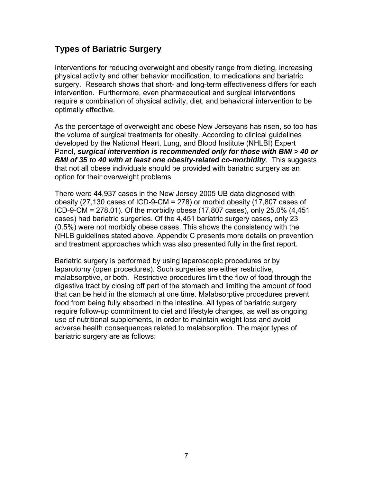# **Types of Bariatric Surgery**

Interventions for reducing overweight and obesity range from dieting, increasing physical activity and other behavior modification, to medications and bariatric surgery. Research shows that short- and long-term effectiveness differs for each intervention. Furthermore, even pharmaceutical and surgical interventions require a combination of physical activity, diet, and behavioral intervention to be optimally effective.

As the percentage of overweight and obese New Jerseyans has risen, so too has the volume of surgical treatments for obesity. According to clinical guidelines developed by the National Heart, Lung, and Blood Institute (NHLBI) Expert Panel, *surgical intervention is recommended only for those with BMI > 40 or BMI of 35 to 40 with at least one obesity-related co-morbidity*. This suggests that not all obese individuals should be provided with bariatric surgery as an option for their overweight problems.

There were 44,937 cases in the New Jersey 2005 UB data diagnosed with obesity (27,130 cases of ICD-9-CM = 278) or morbid obesity (17,807 cases of ICD-9-CM = 278.01). Of the morbidly obese (17,807 cases), only 25.0% (4,451 cases) had bariatric surgeries. Of the 4,451 bariatric surgery cases, only 23 (0.5%) were not morbidly obese cases. This shows the consistency with the NHLB guidelines stated above. Appendix C presents more details on prevention and treatment approaches which was also presented fully in the first report.

Bariatric surgery is performed by using laparoscopic procedures or by laparotomy (open procedures). Such surgeries are either restrictive, malabsorptive, or both. Restrictive procedures limit the flow of food through the digestive tract by closing off part of the stomach and limiting the amount of food that can be held in the stomach at one time. Malabsorptive procedures prevent food from being fully absorbed in the intestine. All types of bariatric surgery require follow-up commitment to diet and lifestyle changes, as well as ongoing use of nutritional supplements, in order to maintain weight loss and avoid adverse health consequences related to malabsorption. The major types of bariatric surgery are as follows: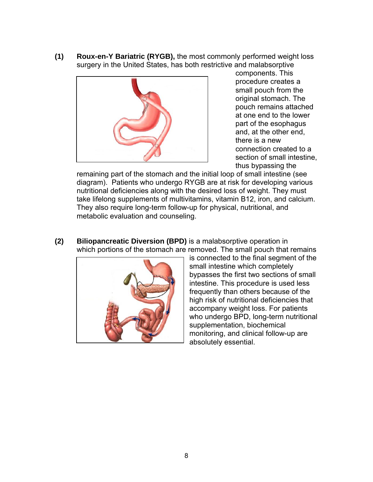**(1) Roux-en-Y Bariatric (RYGB),** the most commonly performed weight loss surgery in the United States, has both restrictive and malabsorptive



components. This procedure creates a small pouch from the original stomach. The pouch remains attached at one end to the lower part of the esophagus and, at the other end, there is a new connection created to a section of small intestine, thus bypassing the

remaining part of the stomach and the initial loop of small intestine (see diagram). Patients who undergo RYGB are at risk for developing various nutritional deficiencies along with the desired loss of weight. They must take lifelong supplements of multivitamins, vitamin B12, iron, and calcium. They also require long-term follow-up for physical, nutritional, and metabolic evaluation and counseling.

**(2) Biliopancreatic Diversion (BPD)** is a malabsorptive operation in which portions of the stomach are removed. The small pouch that remains



is connected to the final segment of the small intestine which completely bypasses the first two sections of small intestine. This procedure is used less frequently than others because of the high risk of nutritional deficiencies that accompany weight loss. For patients who undergo BPD, long-term nutritional supplementation, biochemical monitoring, and clinical follow-up are absolutely essential.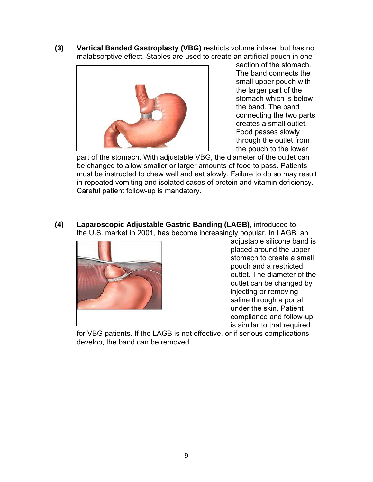**(3) Vertical Banded Gastroplasty (VBG)** restricts volume intake, but has no malabsorptive effect. Staples are used to create an artificial pouch in one



section of the stomach. The band connects the small upper pouch with the larger part of the stomach which is below the band. The band connecting the two parts creates a small outlet. Food passes slowly through the outlet from the pouch to the lower

part of the stomach. With adjustable VBG, the diameter of the outlet can be changed to allow smaller or larger amounts of food to pass. Patients must be instructed to chew well and eat slowly. Failure to do so may result in repeated vomiting and isolated cases of protein and vitamin deficiency. Careful patient follow-up is mandatory.

**(4) Laparoscopic Adjustable Gastric Banding (LAGB)**, introduced to the U.S. market in 2001, has become increasingly popular. In LAGB, an



adjustable silicone band is placed around the upper stomach to create a small pouch and a restricted outlet. The diameter of the outlet can be changed by injecting or removing saline through a portal under the skin. Patient compliance and follow-up is similar to that required

for VBG patients. If the LAGB is not effective, or if serious complications develop, the band can be removed.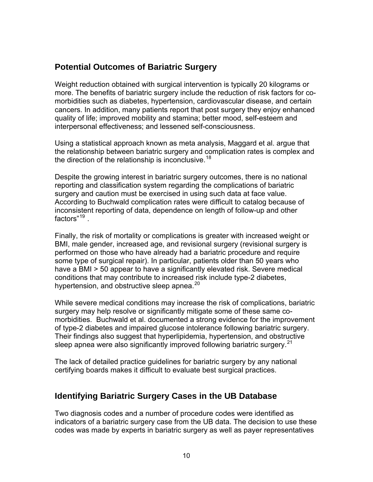# **Potential Outcomes of Bariatric Surgery**

Weight reduction obtained with surgical intervention is typically 20 kilograms or more. The benefits of bariatric surgery include the reduction of risk factors for comorbidities such as diabetes, hypertension, cardiovascular disease, and certain cancers. In addition, many patients report that post surgery they enjoy enhanced quality of life; improved mobility and stamina; better mood, self-esteem and interpersonal effectiveness; and lessened self-consciousness.

Using a statistical approach known as meta analysis, Maggard et al. argue that the relationship between bariatric surgery and complication rates is complex and the direction of the relationship is inconclusive.<sup>[18](#page-44-1)</sup>

Despite the growing interest in bariatric surgery outcomes, there is no national reporting and classification system regarding the complications of bariatric surgery and caution must be exercised in using such data at face value. According to Buchwald complication rates were difficult to catalog because of inconsistent reporting of data, dependence on length of follow-up and other factors"<sup>[19](#page-44-1)</sup>.

Finally, the risk of mortality or complications is greater with increased weight or BMI, male gender, increased age, and revisional surgery (revisional surgery is performed on those who have already had a bariatric procedure and require some type of surgical repair). In particular, patients older than 50 years who have a BMI > 50 appear to have a significantly elevated risk. Severe medical conditions that may contribute to increased risk include type-2 diabetes, hypertension, and obstructive sleep apnea.<sup>[20](#page-44-1)</sup>

While severe medical conditions may increase the risk of complications, bariatric surgery may help resolve or significantly mitigate some of these same comorbidities. Buchwald et al. documented a strong evidence for the improvement of type-2 diabetes and impaired glucose intolerance following bariatric surgery. Their findings also suggest that hyperlipidemia, hypertension, and obstructive sleep apnea were also significantly improved following bariatric surgery.<sup>[21](#page-44-1)</sup>

The lack of detailed practice guidelines for bariatric surgery by any national certifying boards makes it difficult to evaluate best surgical practices.

## **Identifying Bariatric Surgery Cases in the UB Database**

Two diagnosis codes and a number of procedure codes were identified as indicators of a bariatric surgery case from the UB data. The decision to use these codes was made by experts in bariatric surgery as well as payer representatives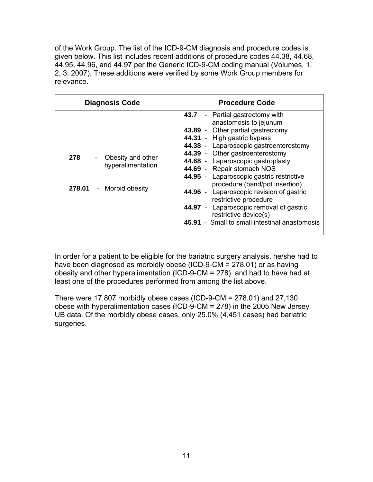of the Work Group. The list of the ICD-9-CM diagnosis and procedure codes is given below. This list includes recent additions of procedure codes 44.38, 44.68, 44.95, 44.96, and 44.97 per the Generic ICD-9-CM coding manual (Volumes, 1, 2, 3; 2007). These additions were verified by some Work Group members for relevance.

| <b>Diagnosis Code</b>                                                                                | <b>Procedure Code</b>                                                                                                                                                                                                                                                                                                                                                                                                                                                                                                                                 |
|------------------------------------------------------------------------------------------------------|-------------------------------------------------------------------------------------------------------------------------------------------------------------------------------------------------------------------------------------------------------------------------------------------------------------------------------------------------------------------------------------------------------------------------------------------------------------------------------------------------------------------------------------------------------|
| 278<br>Obesity and other<br>$\overline{\phantom{a}}$<br>hyperalimentation<br>278.01 - Morbid obesity | 43.7 - Partial gastrectomy with<br>anastomosis to jejunum<br>43.89 - Other partial gastrectomy<br>44.31 - High gastric bypass<br>44.38 - Laparoscopic gastroenterostomy<br>44.39 - Other gastroenterostomy<br>44.68 - Laparoscopic gastroplasty<br>44.69 - Repair stomach NOS<br>44.95 - Laparoscopic gastric restrictive<br>procedure (band/pot insertion)<br>44.96 - Laparoscopic revision of gastric<br>restrictive procedure<br>44.97 - Laparoscopic removal of gastric<br>restrictive device(s)<br>45.91 - Small to small intestinal anastomosis |

In order for a patient to be eligible for the bariatric surgery analysis, he/she had to have been diagnosed as morbidly obese (ICD-9-CM = 278.01) or as having obesity and other hyperalimentation (ICD-9-CM = 278), and had to have had at least one of the procedures performed from among the list above.

There were 17,807 morbidly obese cases (ICD-9-CM = 278.01) and 27,130 obese with hyperalimentation cases (ICD-9-CM = 278) in the 2005 New Jersey UB data. Of the morbidly obese cases, only 25.0% (4,451 cases) had bariatric surgeries.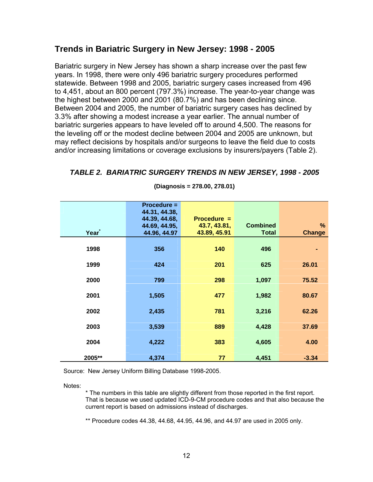### **Trends in Bariatric Surgery in New Jersey: 1998 - 2005**

Bariatric surgery in New Jersey has shown a sharp increase over the past few years. In 1998, there were only 496 bariatric surgery procedures performed statewide. Between 1998 and 2005, bariatric surgery cases increased from 496 to 4,451, about an 800 percent (797.3%) increase. The year-to-year change was the highest between 2000 and 2001 (80.7%) and has been declining since. Between 2004 and 2005, the number of bariatric surgery cases has declined by 3.3% after showing a modest increase a year earlier. The annual number of bariatric surgeries appears to have leveled off to around 4,500. The reasons for the leveling off or the modest decline between 2004 and 2005 are unknown, but may reflect decisions by hospitals and/or surgeons to leave the field due to costs and/or increasing limitations or coverage exclusions by insurers/payers (Table 2).

|        | $Procedure =$<br>44.31, 44.38,<br>44.39, 44.68, | $Proceedure =$               |                                 |                       |
|--------|-------------------------------------------------|------------------------------|---------------------------------|-----------------------|
| Year   | 44.69, 44.95,<br>44.96, 44.97                   | 43.7, 43.81,<br>43.89, 45.91 | <b>Combined</b><br><b>Total</b> | $\%$<br><b>Change</b> |
| 1998   | 356                                             | 140                          | 496                             |                       |
| 1999   | 424                                             | 201                          | 625                             | 26.01                 |
| 2000   | 799                                             | 298                          | 1,097                           | 75.52                 |
| 2001   | 1,505                                           | 477                          | 1,982                           | 80.67                 |
| 2002   | 2,435                                           | 781                          | 3,216                           | 62.26                 |
| 2003   | 3,539                                           | 889                          | 4,428                           | 37.69                 |
| 2004   | 4,222                                           | 383                          | 4,605                           | 4.00                  |
| 2005** | 4,374                                           | 77                           | 4,451                           | $-3.34$               |

#### *TABLE 2. BARIATRIC SURGERY TRENDS IN NEW JERSEY, 1998 - 2005*

**(Diagnosis = 278.00, 278.01)** 

Source: New Jersey Uniform Billing Database 1998-2005.

Notes:

\* The numbers in this table are slightly different from those reported in the first report. That is because we used updated ICD-9-CM procedure codes and that also because the current report is based on admissions instead of discharges.

\*\* Procedure codes 44.38, 44.68, 44.95, 44.96, and 44.97 are used in 2005 only.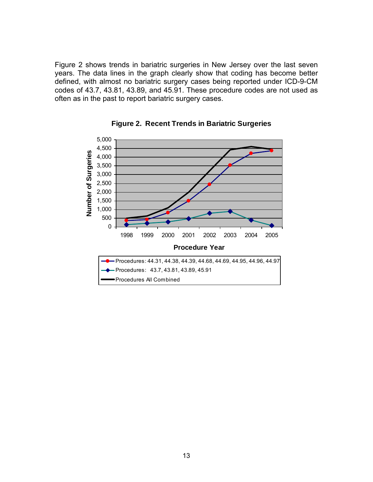Figure 2 shows trends in bariatric surgeries in New Jersey over the last seven years. The data lines in the graph clearly show that coding has become better defined, with almost no bariatric surgery cases being reported under ICD-9-CM codes of 43.7, 43.81, 43.89, and 45.91. These procedure codes are not used as often as in the past to report bariatric surgery cases.



**Figure 2. Recent Trends in Bariatric Surgeries**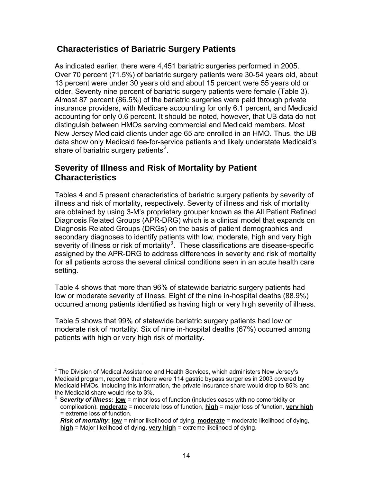# **Characteristics of Bariatric Surgery Patients**

As indicated earlier, there were 4,451 bariatric surgeries performed in 2005. Over 70 percent (71.5%) of bariatric surgery patients were 30-54 years old, about 13 percent were under 30 years old and about 15 percent were 55 years old or older. Seventy nine percent of bariatric surgery patients were female (Table 3). Almost 87 percent (86.5%) of the bariatric surgeries were paid through private insurance providers, with Medicare accounting for only 6.1 percent, and Medicaid accounting for only 0.6 percent. It should be noted, however, that UB data do not distinguish between HMOs serving commercial and Medicaid members. Most New Jersey Medicaid clients under age 65 are enrolled in an HMO. Thus, the UB data show only Medicaid fee-for-service patients and likely understate Medicaid's share of bariatric surgery patients<sup>[2](#page-20-0)</sup>.

### **Severity of Illness and Risk of Mortality by Patient Characteristics**

Tables 4 and 5 present characteristics of bariatric surgery patients by severity of illness and risk of mortality, respectively. Severity of illness and risk of mortality are obtained by using 3-M's proprietary grouper known as the All Patient Refined Diagnosis Related Groups (APR-DRG) which is a clinical model that expands on Diagnosis Related Groups (DRGs) on the basis of patient demographics and secondary diagnoses to identify patients with low, moderate, high and very high severity of illness or risk of mortality<sup>[3](#page-20-1)</sup>. These classifications are disease-specific assigned by the APR-DRG to address differences in severity and risk of mortality for all patients across the several clinical conditions seen in an acute health care setting.

Table 4 shows that more than 96% of statewide bariatric surgery patients had low or moderate severity of illness. Eight of the nine in-hospital deaths (88.9%) occurred among patients identified as having high or very high severity of illness.

Table 5 shows that 99% of statewide bariatric surgery patients had low or moderate risk of mortality. Six of nine in-hospital deaths (67%) occurred among patients with high or very high risk of mortality.

<span id="page-20-0"></span> $2$  The Division of Medical Assistance and Health Services, which administers New Jersey's Medicaid program, reported that there were 114 gastric bypass surgeries in 2003 covered by Medicaid HMOs. Including this information, the private insurance share would drop to 85% and the Medicaid share would rise to 3%.

<span id="page-20-1"></span><sup>3</sup> **S***everity of illness***: low** = minor loss of function (includes cases with no comorbidity or complication), **moderat**e = moderate loss of function, **high** = major loss of function, **very high** = extreme loss of function.

*Risk of mortality***: low** = minor likelihood of dying, **moderate** = moderate likelihood of dying, **high** = Major likelihood of dying, **very high** = extreme likelihood of dying.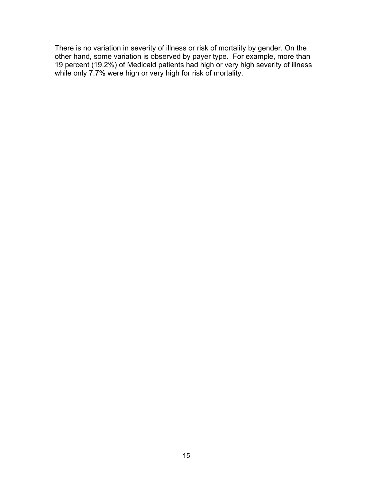There is no variation in severity of illness or risk of mortality by gender. On the other hand, some variation is observed by payer type. For example, more than 19 percent (19.2%) of Medicaid patients had high or very high severity of illness while only 7.7% were high or very high for risk of mortality.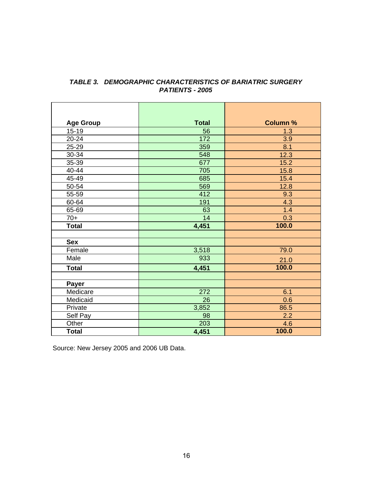| <b>Age Group</b> | <b>Total</b> | <b>Column %</b> |
|------------------|--------------|-----------------|
| $15 - 19$        | 56           | 1.3             |
| 20-24            | 172          | 3.9             |
| 25-29            | 359          | 8.1             |
| 30-34            | 548          | 12.3            |
| 35-39            | 677          | 15.2            |
| 40-44            | 705          | 15.8            |
| 45-49            | 685          | 15.4            |
| 50-54            | 569          | 12.8            |
| 55-59            | 412          | 9.3             |
| 60-64            | 191          | 4.3             |
| 65-69            | 63           | 1.4             |
| $70+$            | 14           | 0.3             |
| <b>Total</b>     | 4,451        | 100.0           |
|                  |              |                 |
| <b>Sex</b>       |              |                 |
| Female           | 3,518        | <u>79.0</u>     |
| Male             | 933          | 21.0            |
| <b>Total</b>     | 4,451        | 100.0           |
|                  |              |                 |
| Payer            |              |                 |
| Medicare         | 272          | 6.1             |
| Medicaid         | 26           | 0.6             |
| Private          | 3,852        | 86.5            |
| Self Pay         | 98           | 2.2             |
| Other            | 203          | 4.6             |
| <b>Total</b>     | 4,451        | 100.0           |

#### *TABLE 3. DEMOGRAPHIC CHARACTERISTICS OF BARIATRIC SURGERY PATIENTS - 2005*

Source: New Jersey 2005 and 2006 UB Data.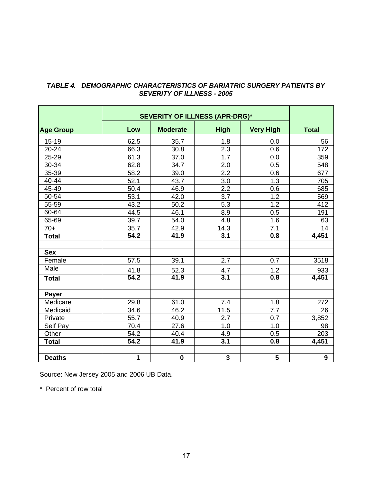|                  | <b>SEVERITY OF ILLNESS (APR-DRG)*</b> |                 |                  |                  |              |
|------------------|---------------------------------------|-----------------|------------------|------------------|--------------|
| <b>Age Group</b> | Low                                   | <b>Moderate</b> | <b>High</b>      | <b>Very High</b> | <b>Total</b> |
| $15 - 19$        | 62.5                                  | 35.7            | 1.8              | 0.0              | 56           |
| 20-24            | 66.3                                  | 30.8            | 2.3              | 0.6              | 172          |
| 25-29            | 61.3                                  | 37.0            | 1.7              | 0.0              | 359          |
| 30-34            | 62.8                                  | 34.7            | 2.0              | 0.5              | 548          |
| 35-39            | 58.2                                  | 39.0            | 2.2              | 0.6              | 677          |
| 40-44            | 52.1                                  | 43.7            | 3.0              | 1.3              | 705          |
| 45-49            | 50.4                                  | 46.9            | $\overline{2.2}$ | 0.6              | 685          |
| 50-54            | 53.1                                  | 42.0            | 3.7              | 1.2              | 569          |
| 55-59            | 43.2                                  | 50.2            | 5.3              | 1.2              | 412          |
| 60-64            | 44.5                                  | 46.1            | 8.9              | 0.5              | 191          |
| 65-69            | 39.7                                  | 54.0            | 4.8              | 1.6              | 63           |
| $70+$            | 35.7                                  | 42.9<br>14.3    |                  | 7.1              | 14           |
| <b>Total</b>     | 54.2                                  | 41.9            | $\overline{3.1}$ | 0.8              | 4,451        |
|                  |                                       |                 |                  |                  |              |
| <b>Sex</b>       |                                       |                 |                  |                  |              |
| Female           | 57.5                                  | 39.1            | 2.7              | 0.7              | 3518         |
| Male             | 41.8                                  | 52.3            | 4.7              | 1.2              | 933          |
| <b>Total</b>     | 54.2                                  | 41.9            | $\overline{3.1}$ | 0.8              | 4,451        |
| <b>Payer</b>     |                                       |                 |                  |                  |              |
| Medicare         | 29.8                                  | 61.0            | 7.4              | 1.8              | 272          |
| Medicaid         | 34.6                                  | 46.2            | 11.5             | 7.7              | 26           |
| Private          | $\overline{55.7}$                     | 40.9            | $\overline{2.7}$ | 0.7              | 3,852        |
| Self Pay         | 70.4                                  | 27.6            | 1.0              | 1.0              | 98           |
| Other            | 54.2                                  | 40.4            | 4.9              | 0.5              | 203          |
| <b>Total</b>     | 54.2                                  | 41.9            | 3.1              | 0.8              | 4,451        |
|                  |                                       |                 |                  |                  |              |
| <b>Deaths</b>    | 1                                     | $\mathbf 0$     | 3                | 5                | 9            |

#### *TABLE 4. DEMOGRAPHIC CHARACTERISTICS OF BARIATRIC SURGERY PATIENTS BY SEVERITY OF ILLNESS - 2005*

<u> The Common State</u>

 $\blacksquare$ 

Source: New Jersey 2005 and 2006 UB Data.

 $\mathbf{r}$ 

\* Percent of row total

 $\blacksquare$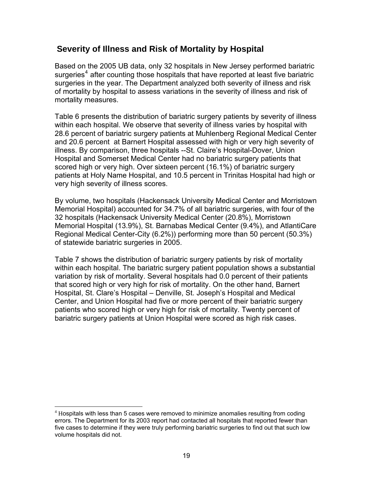### **Severity of Illness and Risk of Mortality by Hospital**

Based on the 2005 UB data, only 32 hospitals in New Jersey performed bariatric surgeries<sup>[4](#page-25-0)</sup> after counting those hospitals that have reported at least five bariatric surgeries in the year. The Department analyzed both severity of illness and risk of mortality by hospital to assess variations in the severity of illness and risk of mortality measures.

Table 6 presents the distribution of bariatric surgery patients by severity of illness within each hospital. We observe that severity of illness varies by hospital with 28.6 percent of bariatric surgery patients at Muhlenberg Regional Medical Center and 20.6 percent at Barnert Hospital assessed with high or very high severity of illness. By comparison, three hospitals --St. Claire's Hospital-Dover, Union Hospital and Somerset Medical Center had no bariatric surgery patients that scored high or very high. Over sixteen percent (16.1%) of bariatric surgery patients at Holy Name Hospital, and 10.5 percent in Trinitas Hospital had high or very high severity of illness scores.

By volume, two hospitals (Hackensack University Medical Center and Morristown Memorial Hospital) accounted for 34.7% of all bariatric surgeries, with four of the 32 hospitals (Hackensack University Medical Center (20.8%), Morristown Memorial Hospital (13.9%), St. Barnabas Medical Center (9.4%), and AtlantiCare Regional Medical Center-City (6.2%)) performing more than 50 percent (50.3%) of statewide bariatric surgeries in 2005.

Table 7 shows the distribution of bariatric surgery patients by risk of mortality within each hospital. The bariatric surgery patient population shows a substantial variation by risk of mortality. Several hospitals had 0.0 percent of their patients that scored high or very high for risk of mortality. On the other hand, Barnert Hospital, St. Clare's Hospital – Denville, St. Joseph's Hospital and Medical Center, and Union Hospital had five or more percent of their bariatric surgery patients who scored high or very high for risk of mortality. Twenty percent of bariatric surgery patients at Union Hospital were scored as high risk cases.

<span id="page-25-0"></span> $\overline{a}$  $4$  Hospitals with less than 5 cases were removed to minimize anomalies resulting from coding errors. The Department for its 2003 report had contacted all hospitals that reported fewer than five cases to determine if they were truly performing bariatric surgeries to find out that such low volume hospitals did not.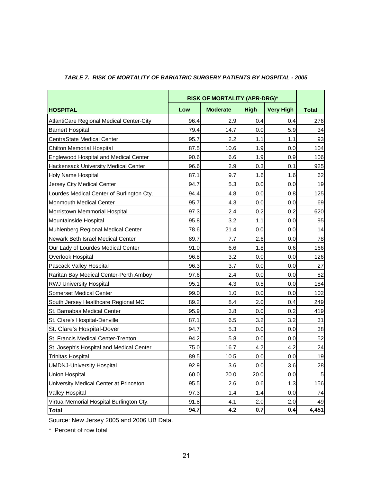|                                              |      | <b>RISK OF MORTALITY (APR-DRG)*</b> |             |                  |              |  |  |  |
|----------------------------------------------|------|-------------------------------------|-------------|------------------|--------------|--|--|--|
| <b>HOSPITAL</b>                              | Low  | <b>Moderate</b>                     | <b>High</b> | <b>Very High</b> | <b>Total</b> |  |  |  |
| AtlantiCare Regional Medical Center-City     | 96.4 | 2.9                                 | 0.4         | 0.4              | 276          |  |  |  |
| <b>Barnert Hospital</b>                      | 79.4 | 14.7                                | 0.0         | 5.9              | 34           |  |  |  |
| <b>CentraState Medical Center</b>            | 95.7 | 2.2                                 | 1.1         | 1.1              | 93           |  |  |  |
| <b>Chilton Memorial Hospital</b>             | 87.5 | 10.6                                | 1.9         | 0.0              | 104          |  |  |  |
| <b>Englewood Hospital and Medical Center</b> | 90.6 | 6.6                                 | 1.9         | 0.9              | 106          |  |  |  |
| Hackensack University Medical Center         | 96.6 | 2.9                                 | 0.3         | 0.1              | 925          |  |  |  |
| Holy Name Hospital                           | 87.1 | 9.7                                 | 1.6         | 1.6              | 62           |  |  |  |
| Jersey City Medical Center                   | 94.7 | 5.3                                 | 0.0         | 0.0              | 19           |  |  |  |
| Lourdes Medical Center of Burlington Cty.    | 94.4 | 4.8                                 | 0.0         | 0.8              | 125          |  |  |  |
| Monmouth Medical Center                      | 95.7 | 4.3                                 | 0.0         | 0.0              | 69           |  |  |  |
| Morristown Memmorial Hospital                | 97.3 | 2.4                                 | 0.2         | 0.2              | 620          |  |  |  |
| Mountainside Hospital                        | 95.8 | 3.2                                 | 1.1         | 0.0              | 95           |  |  |  |
| Muhlenberg Regional Medical Center           | 78.6 | 21.4                                | 0.0         | 0.0              | 14           |  |  |  |
| Newark Beth Israel Medical Center            | 89.7 | 7.7                                 | 2.6         | 0.0              | 78           |  |  |  |
| Our Lady of Lourdes Medical Center           | 91.0 | 6.6                                 | 1.8         | 0.6              | 166          |  |  |  |
| Overlook Hospital                            | 96.8 | 3.2                                 | 0.0         | 0.0              | 126          |  |  |  |
| Pascack Valley Hospital                      | 96.3 | 3.7                                 | 0.0         | 0.0              | 27           |  |  |  |
| Raritan Bay Medical Center-Perth Amboy       | 97.6 | 2.4                                 | 0.0         | 0.0              | 82           |  |  |  |
| <b>RWJ University Hospital</b>               | 95.1 | 4.3                                 | 0.5         | 0.0              | 184          |  |  |  |
| <b>Somerset Medical Center</b>               | 99.0 | 1.0                                 | 0.0         | 0.0              | 102          |  |  |  |
| South Jersey Healthcare Regional MC          | 89.2 | 8.4                                 | 2.0         | 0.4              | 249          |  |  |  |
| St. Barnabas Medical Center                  | 95.9 | 3.8                                 | 0.0         | 0.2              | 419          |  |  |  |
| St. Clare's Hospital-Denville                | 87.1 | 6.5                                 | 3.2         | 3.2              | 31           |  |  |  |
| St. Clare's Hospital-Dover                   | 94.7 | 5.3                                 | 0.0         | 0.0              | 38           |  |  |  |
| St. Francis Medical Center-Trenton           | 94.2 | 5.8                                 | 0.0         | 0.0              | 52           |  |  |  |
| St. Joseph's Hospital and Medical Center     | 75.0 | 16.7                                | 4.2         | 4.2              | 24           |  |  |  |
| <b>Trinitas Hospital</b>                     | 89.5 | 10.5                                | 0.0         | 0.0              | 19           |  |  |  |
| <b>UMDNJ-University Hospital</b>             | 92.9 | 3.6                                 | 0.0         | 3.6              | <u>28</u>    |  |  |  |
| <b>Union Hospital</b>                        | 60.0 | 20.0                                | 20.0        | 0.0              | 5            |  |  |  |
| University Medical Center at Princeton       | 95.5 | 2.6                                 | 0.6         | 1.3              | 156          |  |  |  |
| <b>Valley Hospital</b>                       | 97.3 | 1.4                                 | 1.4         | 0.0              | 74           |  |  |  |
| Virtua-Memorial Hospital Burlington Cty.     | 91.8 | 4.1                                 | 2.0         | 2.0              | 49           |  |  |  |
| <b>Total</b>                                 | 94.7 | 4.2                                 | 0.7         | 0.4              | 4,451        |  |  |  |

#### *TABLE 7. RISK OF MORTALITY OF BARIATRIC SURGERY PATIENTS BY HOSPITAL - 2005*

Source: New Jersey 2005 and 2006 UB Data.

\* Percent of row total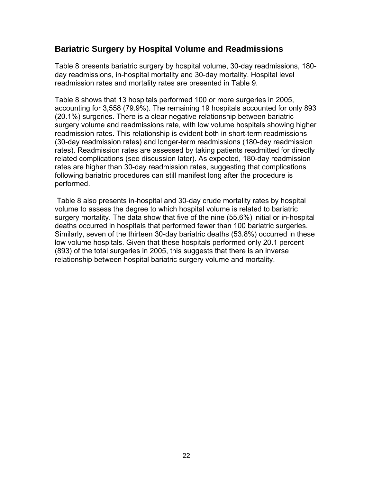### **Bariatric Surgery by Hospital Volume and Readmissions**

Table 8 presents bariatric surgery by hospital volume, 30-day readmissions, 180 day readmissions, in-hospital mortality and 30-day mortality. Hospital level readmission rates and mortality rates are presented in Table 9.

Table 8 shows that 13 hospitals performed 100 or more surgeries in 2005, accounting for 3,558 (79.9%). The remaining 19 hospitals accounted for only 893 (20.1%) surgeries. There is a clear negative relationship between bariatric surgery volume and readmissions rate, with low volume hospitals showing higher readmission rates. This relationship is evident both in short-term readmissions (30-day readmission rates) and longer-term readmissions (180-day readmission rates). Readmission rates are assessed by taking patients readmitted for directly related complications (see discussion later). As expected, 180-day readmission rates are higher than 30-day readmission rates, suggesting that complications following bariatric procedures can still manifest long after the procedure is performed.

 Table 8 also presents in-hospital and 30-day crude mortality rates by hospital volume to assess the degree to which hospital volume is related to bariatric surgery mortality. The data show that five of the nine (55.6%) initial or in-hospital deaths occurred in hospitals that performed fewer than 100 bariatric surgeries. Similarly, seven of the thirteen 30-day bariatric deaths (53.8%) occurred in these low volume hospitals. Given that these hospitals performed only 20.1 percent (893) of the total surgeries in 2005, this suggests that there is an inverse relationship between hospital bariatric surgery volume and mortality.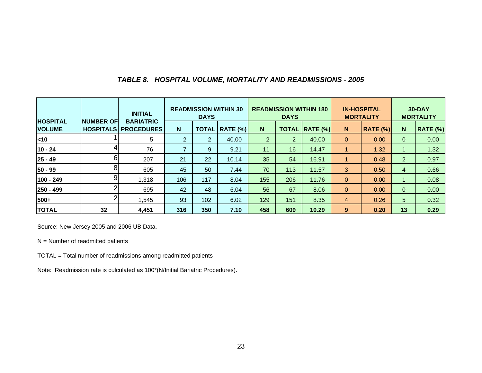#### *TABLE 8. HOSPITAL VOLUME, MORTALITY AND READMISSIONS - 2005*

|                                  |                  | <b>INITIAL</b>                                  | <b>READMISSION WITHIN 30</b><br><b>DAYS</b> |                |                  | <b>READMISSION WITHIN 180</b><br><b>DAYS</b> |                |                       |                | <b>IN-HOSPITAL</b><br><b>MORTALITY</b> | <b>30-DAY</b><br><b>MORTALITY</b> |                 |
|----------------------------------|------------------|-------------------------------------------------|---------------------------------------------|----------------|------------------|----------------------------------------------|----------------|-----------------------|----------------|----------------------------------------|-----------------------------------|-----------------|
| <b>HOSPITAL</b><br><b>VOLUME</b> | <b>NUMBER OF</b> | <b>BARIATRIC</b><br><b>HOSPITALS PROCEDURES</b> | N                                           |                | TOTAL   RATE (%) | N                                            |                | <b>TOTAL RATE (%)</b> | $\mathbf N$    | <b>RATE (%)</b>                        | N                                 | <b>RATE (%)</b> |
| $ $ < 10                         |                  | 5                                               | $2^{\circ}$                                 | $\overline{2}$ | 40.00            | $\overline{2}$                               | $\overline{2}$ | 40.00                 | $\overline{0}$ | 0.00                                   | 0                                 | 0.00            |
| $10 - 24$                        | 4                | 76                                              |                                             | 9              | 9.21             | 11                                           | 16             | 14.47                 |                | 1.32                                   |                                   | 1.32            |
| $25 - 49$                        | 6                | 207                                             | 21                                          | 22             | 10.14            | 35                                           | 54             | 16.91                 |                | 0.48                                   | $\overline{2}$                    | 0.97            |
| 50 - 99                          | 8                | 605                                             | 45                                          | 50             | 7.44             | 70                                           | 113            | 11.57                 | 3              | 0.50                                   | $\overline{4}$                    | 0.66            |
| 100 - 249                        | 9                | 1,318                                           | 106                                         | 117            | 8.04             | 155                                          | 206            | 11.76                 | $\mathbf{0}$   | 0.00                                   |                                   | 0.08            |
| 250 - 499                        | ົ                | 695                                             | 42                                          | 48             | 6.04             | 56                                           | 67             | 8.06                  | $\mathbf{0}$   | 0.00                                   | $\mathbf{0}$                      | 0.00            |
| 500+                             | ി                | 1,545                                           | 93                                          | 102            | 6.02             | 129                                          | 151            | 8.35                  | 4              | 0.26                                   | 5                                 | 0.32            |
| <b>TOTAL</b>                     | 32               | 4,451                                           | 316                                         | 350            | 7.10             | 458                                          | 609            | 10.29                 | 9              | 0.20                                   | 13                                | 0.29            |

Source: New Jersey 2005 and 2006 UB Data.

 $N =$  Number of readmitted patients

TOTAL = Total number of readmissions among readmitted patients

Note: Readmission rate is culculated as 100\*(N/Initial Bariatric Procedures).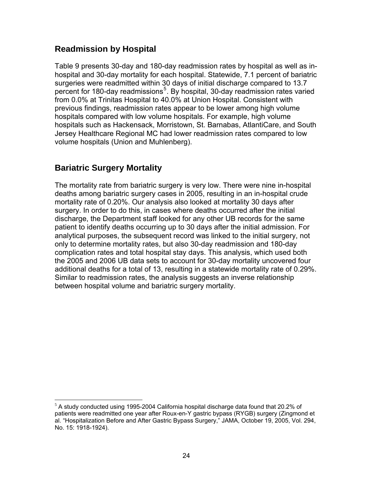# **Readmission by Hospital**

Table 9 presents 30-day and 180-day readmission rates by hospital as well as inhospital and 30-day mortality for each hospital. Statewide, 7.1 percent of bariatric surgeries were readmitted within 30 days of initial discharge compared to 13.7 percent for 180-day readmissions<sup>[5](#page-30-0)</sup>. By hospital, 30-day readmission rates varied from 0.0% at Trinitas Hospital to 40.0% at Union Hospital. Consistent with previous findings, readmission rates appear to be lower among high volume hospitals compared with low volume hospitals. For example, high volume hospitals such as Hackensack, Morristown, St. Barnabas, AtlantiCare, and South Jersey Healthcare Regional MC had lower readmission rates compared to low volume hospitals (Union and Muhlenberg).

# **Bariatric Surgery Mortality**

The mortality rate from bariatric surgery is very low. There were nine in-hospital deaths among bariatric surgery cases in 2005, resulting in an in-hospital crude mortality rate of 0.20%. Our analysis also looked at mortality 30 days after surgery. In order to do this, in cases where deaths occurred after the initial discharge, the Department staff looked for any other UB records for the same analytical purposes, the subsequent record was linked to the initial surgery, not only to determine mortality rates, but also 30-day readmission and 180-day complication rates and total hospital stay days. This analysis, which used both the 2005 and 2006 UB data sets to account for 30-day mortality uncovered four additional deaths for a total of 13, resulting in a statewide mortality rate of 0.29%. Similar to readmission rates, the analysis suggests an inverse relationship between hospital volume and bariatric surgery mortality. patient to identify deaths occurring up to 30 days after the initial admission. For

<span id="page-30-0"></span> $\overline{a}$  $5$  A study conducted using 1995-2004 California hospital discharge data found that 20.2% of patients were readmitted one year after Roux-en-Y gastric bypass (RYGB) surgery (Zingmond et al. "Hospitalization Before and After Gastric Bypass Surgery," JAMA, October 19, 2005, Vol. 294, No. 15: 1918-1924).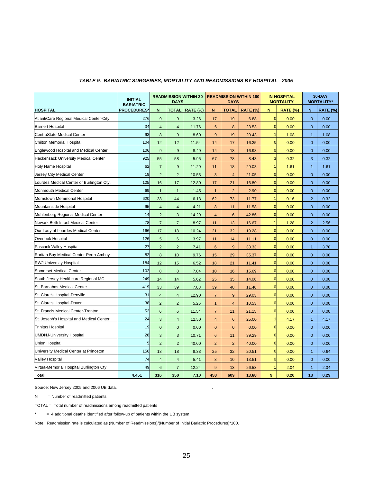|                                              | <b>INITIAL</b><br><b>BARIATRIC</b> | <b>READMISSION WITHIN 30</b><br><b>DAYS</b> |                  |                 | <b>READMISSION WITHIN 180</b><br><b>DAYS</b> |                |                 | <b>IN-HOSPITAL</b><br><b>MORTALITY</b> |                 | 30-DAY<br><b>MORTALITY*</b> |                 |
|----------------------------------------------|------------------------------------|---------------------------------------------|------------------|-----------------|----------------------------------------------|----------------|-----------------|----------------------------------------|-----------------|-----------------------------|-----------------|
| <b>HOSPITAL</b>                              | <b>PROCEDURES*</b>                 | N                                           | <b>TOTAL</b>     | <b>RATE (%)</b> | N.                                           | <b>TOTAL</b>   | <b>RATE (%)</b> | N                                      | <b>RATE (%)</b> | N                           | <b>RATE (%)</b> |
| AtlantiCare Regional Medical Center-City     | 276                                | 9                                           | 9                | 3.26            | 17                                           | 19             | 6.88            | $\overline{0}$                         | 0.00            | $\mathbf{0}$                | 0.00            |
| <b>Barnert Hospital</b>                      | 34                                 | $\overline{4}$                              | $\overline{4}$   | 11.76           | $6\phantom{a}$                               | 8              | 23.53           | $\overline{0}$                         | 0.00            | $\overline{0}$              | 0.00            |
| CentraState Medical Center                   | 93                                 | 8                                           | 9                | 8.60            | 9                                            | 19             | 20.43           | $\mathbf{1}$                           | 1.08            | $\mathbf{1}$                | 1.08            |
| <b>Chilton Memorial Hospital</b>             | 104                                | 12                                          | 12               | 11.54           | 14                                           | 17             | 16.35           | $\mathbf 0$                            | 0.00            | $\overline{0}$              | 0.00            |
| <b>Englewood Hospital and Medical Center</b> | 106                                | 9                                           | 9                | 8.49            | 14                                           | 18             | 16.98           | $\overline{0}$                         | 0.00            | $\overline{0}$              | 0.00            |
| <b>Hackensack University Medical Center</b>  | 925                                | 55                                          | 58               | 5.95            | 67                                           | 78             | 8.43            | 3                                      | 0.32            | 3                           | 0.32            |
| <b>Holy Name Hospital</b>                    | 62                                 | $\overline{7}$                              | 9                | 11.29           | 11                                           | 18             | 29.03           | $\mathbf{1}$                           | 1.61            | $\overline{1}$              | 1.61            |
| Jersey City Medical Center                   | 19                                 | $\overline{2}$                              | $\overline{2}$   | 10.53           | 3                                            | $\overline{4}$ | 21.05           | $\mathbf 0$                            | 0.00            | $\overline{0}$              | 0.00            |
| Lourdes Medical Center of Burlington Cty.    | 125                                | 16                                          | 17               | 12.80           | 17                                           | 21             | 16.80           | $\mathbf 0$                            | 0.00            | $\mathbf{0}$                | 0.00            |
| Monmouth Medical Center                      | 69                                 | $\mathbf{1}$                                | $\overline{1}$   | 1.45            | $\mathbf{1}$                                 | $\overline{2}$ | 2.90            | $\mathbf 0$                            | 0.00            | $\overline{0}$              | 0.00            |
| Morristown Memmorial Hospital                | 620                                | 38                                          | 44               | 6.13            | 62                                           | 73             | 11.77           | $\mathbf{1}$                           | 0.16            | $\overline{2}$              | 0.32            |
| Mountainside Hospital                        | 95                                 | $\overline{4}$                              | $\overline{4}$   | 4.21            | 8                                            | 11             | 11.58           | $\mathbf 0$                            | 0.00            | $\overline{0}$              | 0.00            |
| Muhlenberg Regional Medical Center           | 14                                 | $\overline{2}$                              | 3                | 14.29           | $\overline{4}$                               | $6\phantom{1}$ | 42.86           | $\mathbf 0$                            | 0.00            | $\overline{0}$              | 0.00            |
| Newark Beth Israel Medical Center            | 78                                 | $\overline{7}$                              | $\overline{7}$   | 8.97            | 11                                           | 13             | 16.67           | $\mathbf{1}$                           | 1.28            | $\overline{2}$              | 2.56            |
| Our Lady of Lourdes Medical Center           | 166                                | 17                                          | 18               | 10.24           | 21                                           | 32             | 19.28           | $\mathbf 0$                            | 0.00            | $\overline{0}$              | 0.00            |
| <b>Overlook Hospital</b>                     | 126                                | 5                                           | 6                | 3.97            | 11                                           | 14             | 11.11           | $\overline{0}$                         | 0.00            | $\overline{0}$              | 0.00            |
| Pascack Valley Hospital                      | 27                                 | $\overline{2}$                              | $\overline{2}$   | 7.41            | $6\phantom{1}6$                              | 9              | 33.33           | $\overline{0}$                         | 0.00            | $\mathbf{1}$                | 3.70            |
| Raritan Bay Medical Center-Perth Amboy       | 82                                 | 8                                           | 10               | 9.76            | 15                                           | 29             | 35.37           | $\mathbf 0$                            | 0.00            | $\mathbf{0}$                | 0.00            |
| <b>RWJ University Hospital</b>               | 184                                | 12                                          | 15               | 6.52            | 18                                           | 21             | 11.41           | $\overline{0}$                         | 0.00            | $\mathbf{0}$                | 0.00            |
| <b>Somerset Medical Center</b>               | 102                                | 8                                           | $\boldsymbol{8}$ | 7.84            | 10                                           | 16             | 15.69           | $\overline{0}$                         | 0.00            | $\mathbf{0}$                | 0.00            |
| South Jersey Healthcare Regional MC          | 249                                | 14                                          | 14               | 5.62            | 25                                           | 35             | 14.06           | $\overline{0}$                         | 0.00            | $\overline{0}$              | 0.00            |
| St. Barnabas Medical Center                  | 419                                | 33                                          | 39               | 7.88            | 39                                           | 48             | 11.46           | $\overline{0}$                         | 0.00            | $\overline{0}$              | 0.00            |
| St. Clare's Hospital-Denville                | 31                                 | $\overline{4}$                              | $\overline{4}$   | 12.90           | $\overline{7}$                               | 9              | 29.03           | $\overline{0}$                         | 0.00            | $\overline{0}$              | 0.00            |
| St. Clare's Hospital-Dover                   | 38                                 | $\overline{2}$                              | $\overline{2}$   | 5.26            | $\mathbf{1}$                                 | $\overline{4}$ | 10.53           | $\overline{0}$                         | 0.00            | $\overline{0}$              | 0.00            |
| St. Francis Medical Center-Trenton           | 52                                 | 6                                           | $6\phantom{1}6$  | 11.54           | $\overline{7}$                               | 11             | 21.15           | $\overline{0}$                         | 0.00            | $\mathbf 0$                 | 0.00            |
| St. Joseph's Hospital and Medical Center     | 24                                 | 3                                           | $\overline{4}$   | 12.50           | $\overline{4}$                               | 6              | 25.00           | $\overline{1}$                         | 4.17            | $\mathbf{1}$                | 4.17            |
| <b>Trinitas Hospital</b>                     | 19                                 | $\mathbf{0}$                                | $\mathbf{0}$     | 0.00            | $\mathbf{0}$                                 | $\mathbf{0}$   | 0.00            | $\overline{0}$                         | 0.00            | $\mathbf{0}$                | 0.00            |
| <b>JMDNJ-University Hospital</b>             | 28                                 | 3                                           | 3                | 10.71           | $6\phantom{a}$                               | 11             | 39.29           | $\overline{0}$                         | 0.00            | $\mathbf{0}$                | 0.00            |
| <b>Union Hospital</b>                        | 5                                  | $\overline{2}$                              | $\overline{2}$   | 40.00           | $\overline{2}$                               | $\overline{2}$ | 40.00           | $\overline{0}$                         | 0.00            | $\mathbf{0}$                | 0.00            |
| University Medical Center at Princeton       | 156                                | 13                                          | 18               | 8.33            | 25                                           | 32             | 20.51           | $\overline{0}$                         | 0.00            | $\mathbf{1}$                | 0.64            |
| <b>Valley Hospital</b>                       | 74                                 | $\overline{4}$                              | $\overline{4}$   | 5.41            | 8                                            | 10             | 13.51           | $\overline{0}$                         | 0.00            | $\mathbf{0}$                | 0.00            |
| Virtua-Memorial Hospital Burlington Cty.     | 49                                 | 6                                           | $\overline{7}$   | 12.24           | 9                                            | 13             | 26.53           | 1                                      | 2.04            | $\mathbf{1}$                | 2.04            |
| <b>Total</b>                                 | 4,451                              | 316                                         | 350              | 7.10            | 458                                          | 609            | 13.68           | 9                                      | 0.20            | 13                          | 0.29            |

#### *TABLE 9. BARIATRIC SURGERIES, MORTALITY AND READMISSIONS BY HOSPITAL - 2005*

Source: New Jersey 2005 and 2006 UB data.

 $N =$  Number of readmitted patients

TOTAL = Total number of readmissions among readmitted patients

\* = 4 additional deaths identified after follow-up of patients within the UB system.

Note: Readmission rate is culculated as (Number of Readmissions)/(Number of Initial Bariatric Procedures)\*100.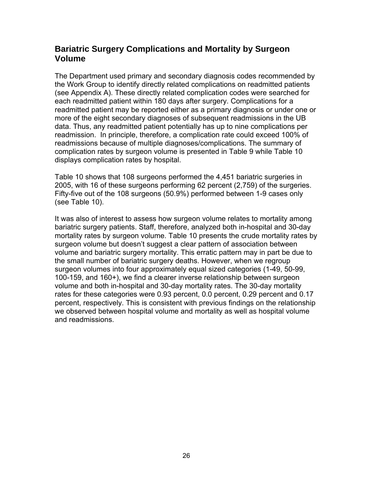# **Bariatric Surgery Complications and Mortality by Surgeon Volume**

The Department used primary and secondary diagnosis codes recommended by the Work Group to identify directly related complications on readmitted patients (see Appendix A). These directly related complication codes were searched for each readmitted patient within 180 days after surgery. Complications for a readmitted patient may be reported either as a primary diagnosis or under one or more of the eight secondary diagnoses of subsequent readmissions in the UB data. Thus, any readmitted patient potentially has up to nine complications per readmission. In principle, therefore, a complication rate could exceed 100% of readmissions because of multiple diagnoses/complications. The summary of complication rates by surgeon volume is presented in Table 9 while Table 10 displays complication rates by hospital.

Table 10 shows that 108 surgeons performed the 4,451 bariatric surgeries in 2005, with 16 of these surgeons performing 62 percent (2,759) of the surgeries. Fifty-five out of the 108 surgeons (50.9%) performed between 1-9 cases only (see Table 10).

It was also of interest to assess how surgeon volume relates to mortality among bariatric surgery patients. Staff, therefore, analyzed both in-hospital and 30-day mortality rates by surgeon volume. Table 10 presents the crude mortality rates by surgeon volume but doesn't suggest a clear pattern of association between volume and bariatric surgery mortality. This erratic pattern may in part be due to the small number of bariatric surgery deaths. However, when we regroup surgeon volumes into four approximately equal sized categories (1-49, 50-99, 100-159, and 160+), we find a clearer inverse relationship between surgeon volume and both in-hospital and 30-day mortality rates. The 30-day mortality rates for these categories were 0.93 percent, 0.0 percent, 0.29 percent and 0.17 percent, respectively. This is consistent with previous findings on the relationship we observed between hospital volume and mortality as well as hospital volume and readmissions.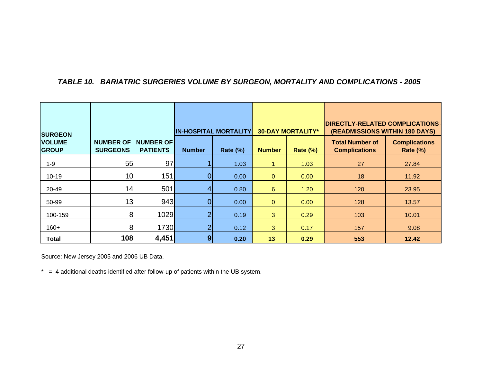#### *TABLE 10. BARIATRIC SURGERIES VOLUME BY SURGEON, MORTALITY AND COMPLICATIONS - 2005*

| <b>SURGEON</b>                |                                     |                                     | <b>IN-HOSPITAL MORTALITY</b> |             | <b>30-DAY MORTALITY*</b> |                 | <b>DIRECTLY-RELATED COMPLICATIONS</b><br>(READMISSIONS WITHIN 180 DAYS) |                                         |
|-------------------------------|-------------------------------------|-------------------------------------|------------------------------|-------------|--------------------------|-----------------|-------------------------------------------------------------------------|-----------------------------------------|
| <b>VOLUME</b><br><b>GROUP</b> | <b>NUMBER OF</b><br><b>SURGEONS</b> | <b>NUMBER OF</b><br><b>PATIENTS</b> | <b>Number</b>                | Rate $(\%)$ | <b>Number</b>            | <b>Rate (%)</b> | <b>Total Number of</b><br><b>Complications</b>                          | <b>Complications</b><br><b>Rate (%)</b> |
| $1 - 9$                       | 55                                  | 97                                  |                              | 1.03        |                          | 1.03            | 27                                                                      | 27.84                                   |
| $10 - 19$                     | 10 <sup>1</sup>                     | 151                                 | 0                            | 0.00        | $\mathbf 0$              | 0.00            | 18                                                                      | 11.92                                   |
| 20-49                         | 14                                  | 501                                 |                              | 0.80        | $6\phantom{1}6$          | 1.20            | 120                                                                     | 23.95                                   |
| 50-99                         | 13                                  | 943                                 |                              | 0.00        | $\mathbf 0$              | 0.00            | 128                                                                     | 13.57                                   |
| 100-159                       | 81                                  | 1029                                |                              | 0.19        | 3                        | 0.29            | 103                                                                     | 10.01                                   |
| $160+$                        | 81                                  | <b>1730</b>                         | າ                            | 0.12        | 3 <sup>1</sup>           | 0.17            | 157                                                                     | 9.08                                    |
| Total                         | 108                                 | 4,451                               | 9                            | 0.20        | 13                       | 0.29            | 553                                                                     | 12.42                                   |

Source: New Jersey 2005 and 2006 UB Data.

 $* = 4$  additional deaths identified after follow-up of patients within the UB system.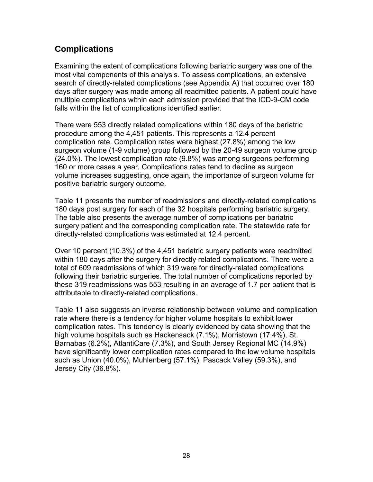# **Complications**

Examining the extent of complications following bariatric surgery was one of the most vital components of this analysis. To assess complications, an extensive search of directly-related complications (see Appendix A) that occurred over 180 days after surgery was made among all readmitted patients. A patient could have multiple complications within each admission provided that the ICD-9-CM code falls within the list of complications identified earlier.

There were 553 directly related complications within 180 days of the bariatric procedure among the 4,451 patients. This represents a 12.4 percent complication rate. Complication rates were highest (27.8%) among the low surgeon volume (1-9 volume) group followed by the 20-49 surgeon volume group (24.0%). The lowest complication rate (9.8%) was among surgeons performing 160 or more cases a year. Complications rates tend to decline as surgeon volume increases suggesting, once again, the importance of surgeon volume for positive bariatric surgery outcome.

Table 11 presents the number of readmissions and directly-related complications 180 days post surgery for each of the 32 hospitals performing bariatric surgery. The table also presents the average number of complications per bariatric surgery patient and the corresponding complication rate. The statewide rate for directly-related complications was estimated at 12.4 percent.

Over 10 percent (10.3%) of the 4,451 bariatric surgery patients were readmitted within 180 days after the surgery for directly related complications. There were a total of 609 readmissions of which 319 were for directly-related complications following their bariatric surgeries. The total number of complications reported by these 319 readmissions was 553 resulting in an average of 1.7 per patient that is attributable to directly-related complications.

Table 11 also suggests an inverse relationship between volume and complication rate where there is a tendency for higher volume hospitals to exhibit lower complication rates. This tendency is clearly evidenced by data showing that the high volume hospitals such as Hackensack (7.1%), Morristown (17.4%), St. Barnabas (6.2%), AtlantiCare (7.3%), and South Jersey Regional MC (14.9%) have significantly lower complication rates compared to the low volume hospitals such as Union (40.0%), Muhlenberg (57.1%), Pascack Valley (59.3%), and Jersey City (36.8%).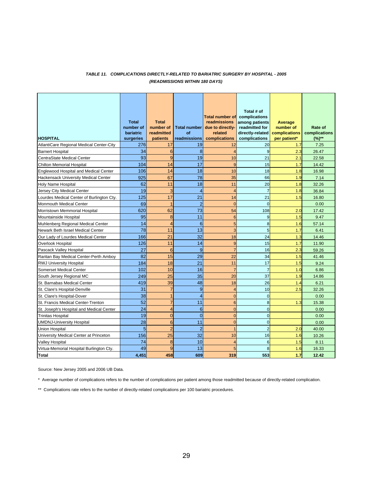#### *TABLE 11. COMPLICATIONS DIRECTLY-RELATED TO BARIATRIC SURGERY BY HOSPITAL - 2005 (READMISSIONS WITHIN 180 DAYS)*

| <b>HOSPITAL</b>                              | <b>Total</b><br>number of<br>bariatric<br>surgeries | <b>Total</b><br>number of<br>readmitted<br>patients | <b>Total number</b><br>of<br>readmissions | <b>Total number of</b><br>readmissions<br>due to directly-<br>related<br>complications | Total # of<br>complications<br>among patients<br>readmitted for<br>directly-related<br>complications | Average<br>number of<br>complications<br>per patient* | Rate of<br>complications<br>$(%)^{**}$ |
|----------------------------------------------|-----------------------------------------------------|-----------------------------------------------------|-------------------------------------------|----------------------------------------------------------------------------------------|------------------------------------------------------------------------------------------------------|-------------------------------------------------------|----------------------------------------|
| AtlantiCare Regional Medical Center-City     | 276                                                 | 17                                                  | 19                                        | 12                                                                                     | 20                                                                                                   | 1.7                                                   | 7.25                                   |
| <b>Barnert Hospital</b>                      | 34                                                  | $6\phantom{1}6$                                     | 8                                         | $\overline{A}$                                                                         | 9                                                                                                    | 2.3                                                   | 26.47                                  |
| <b>CentraState Medical Center</b>            | 93                                                  | 9                                                   | 19                                        | 10                                                                                     | 21                                                                                                   | 2.1                                                   | 22.58                                  |
| <b>Chilton Memorial Hospital</b>             | 104                                                 | 14                                                  | 17                                        | 9                                                                                      | 15                                                                                                   | 1.7                                                   | 14.42                                  |
| <b>Englewood Hospital and Medical Center</b> | 106                                                 | 14                                                  | 18                                        | 10                                                                                     | 18                                                                                                   | 1.8                                                   | 16.98                                  |
| Hackensack University Medical Center         | 925                                                 | 67                                                  | 78                                        | 35                                                                                     | 66                                                                                                   | 1.9                                                   | 7.14                                   |
| Holy Name Hospital                           | 62                                                  | 11                                                  | 18                                        | 11                                                                                     | 20                                                                                                   | 1.8                                                   | 32.26                                  |
| Jersey City Medical Center                   | 19                                                  | 3                                                   | 4                                         | $\overline{A}$                                                                         | $\overline{7}$                                                                                       | 1.8                                                   | 36.84                                  |
| Lourdes Medical Center of Burlington Cty.    | 125                                                 | 17                                                  | 21                                        | 14                                                                                     | 21                                                                                                   | 1.5                                                   | 16.80                                  |
| <b>Monmouth Medical Center</b>               | 69                                                  | $\overline{1}$                                      | $\overline{2}$                            | $\overline{0}$                                                                         | $\mathbf 0$                                                                                          |                                                       | 0.00                                   |
| Morristown Memmorial Hospital                | 620                                                 | 62                                                  | 73                                        | 54                                                                                     | 108                                                                                                  | 2.0                                                   | 17.42                                  |
| Mountainside Hospital                        | 95                                                  | 8                                                   | 11                                        | 6                                                                                      | 9                                                                                                    | 1.5                                                   | 9.47                                   |
| Muhlenberg Regional Medical Center           | 14                                                  | $\overline{4}$                                      | 6                                         | 5                                                                                      | 8                                                                                                    | 1.6                                                   | 57.14                                  |
| Newark Beth Israel Medical Center            | 78                                                  | 11                                                  | 13                                        | 3                                                                                      | 5                                                                                                    | 1.7                                                   | 6.41                                   |
| Our Lady of Lourdes Medical Center           | 166                                                 | $\overline{21}$                                     | 32                                        | 18                                                                                     | 24                                                                                                   | 1.3                                                   | 14.46                                  |
| Overlook Hospital                            | 126                                                 | 11                                                  | 14                                        | 9                                                                                      | 15                                                                                                   | 1.7                                                   | 11.90                                  |
| Pascack Valley Hospital                      | 27                                                  | 6                                                   | 9                                         | $\overline{7}$                                                                         | 16                                                                                                   | 2.3                                                   | 59.26                                  |
| Raritan Bay Medical Center-Perth Amboy       | 82                                                  | 15                                                  | 29                                        | 22                                                                                     | 34                                                                                                   | 1.5                                                   | 41.46                                  |
| <b>RWJ University Hospital</b>               | 184                                                 | 18                                                  | 21                                        | 11                                                                                     | 17                                                                                                   | 1.5                                                   | 9.24                                   |
| <b>Somerset Medical Center</b>               | 102                                                 | 10                                                  | 16                                        | $\overline{7}$                                                                         | $\overline{7}$                                                                                       | 1.0                                                   | 6.86                                   |
| South Jersey Regional MC                     | 249                                                 | 25                                                  | 35                                        | 20                                                                                     | 37                                                                                                   | 1.9                                                   | 14.86                                  |
| St. Barnabas Medical Center                  | 419                                                 | 39                                                  | 48                                        | 18                                                                                     | 26                                                                                                   | 1.4                                                   | 6.21                                   |
| St. Clare's Hospital-Denville                | 31                                                  | $\overline{7}$                                      | 9                                         | $\overline{4}$                                                                         | 10                                                                                                   | 2.5                                                   | 32.26                                  |
| St. Clare's Hospital-Dover                   | 38                                                  | 1                                                   | $\overline{4}$                            | $\Omega$                                                                               | $\Omega$                                                                                             |                                                       | 0.00                                   |
| St. Francis Medical Center-Trenton           | 52                                                  | $\overline{7}$                                      | 11                                        | 6                                                                                      | 8                                                                                                    | 1.3                                                   | 15.38                                  |
| St. Joseph's Hospital and Medical Center     | 24                                                  | 4                                                   | 6                                         | $\Omega$                                                                               | $\mathbf 0$                                                                                          |                                                       | 0.00                                   |
| <b>Trinitas Hospital</b>                     | 19                                                  | $\Omega$                                            | $\overline{0}$                            | $\overline{0}$                                                                         | $\mathbf 0$                                                                                          |                                                       | 0.00                                   |
| <b>UMDNJ-University Hospital</b>             | 28                                                  | 6                                                   | 11                                        | $\overline{0}$                                                                         | $\mathbf 0$                                                                                          |                                                       | 0.00                                   |
| <b>Union Hospital</b>                        | 5                                                   | $\overline{2}$                                      | $\overline{2}$                            |                                                                                        | $\overline{2}$                                                                                       | 2.0                                                   | 40.00                                  |
| University Medical Center at Princeton       | 156                                                 | 25                                                  | 32                                        | 10                                                                                     | 16                                                                                                   | 1.6                                                   | 10.26                                  |
| <b>Valley Hospital</b>                       | 74                                                  | 8                                                   | 10                                        | 4                                                                                      | 6                                                                                                    | 1.5                                                   | 8.11                                   |
| Virtua-Memorial Hospital Burlington Cty.     | 49                                                  | 9                                                   | 13                                        | 5                                                                                      | 8                                                                                                    | 1.6                                                   | 16.33                                  |
| <b>Total</b>                                 | 4,451                                               | 458                                                 | 609                                       | 319                                                                                    | 553                                                                                                  | 1.7                                                   | 12.42                                  |

Source: New Jersey 2005 and 2006 UB Data.

\* Average number of complications refers to the number of complications per patient among those readmitted because of directly-related complication.

\*\* Complications rate refers to the number of directly-related complications per 100 bariatric procedures.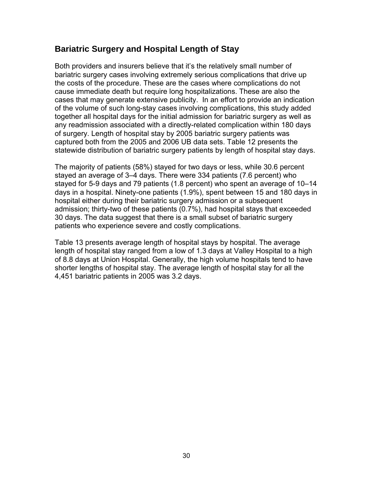# **Bariatric Surgery and Hospital Length of Stay**

Both providers and insurers believe that it's the relatively small number of bariatric surgery cases involving extremely serious complications that drive up the costs of the procedure. These are the cases where complications do not cause immediate death but require long hospitalizations. These are also the cases that may generate extensive publicity. In an effort to provide an indication together all hospital days for the initial admission for bariatric surgery as well as any readmission associated with a directly-related complication within 180 days of surgery. Length of hospital stay by 2005 bariatric surgery patients was captured both from the 2005 and 2006 UB data sets. Table 12 presents the statewide distribution of bariatric surgery patients by length of hospital stay days. of the volume of such long-stay cases involving complications, this study added

The majority of patients (58%) stayed for two days or less, while 30.6 percent stayed an average of 3–4 days. There were 334 patients (7.6 percent) who stayed for 5-9 days and 79 patients (1.8 percent) who spent an average of 10–14 days in a hospital. Ninety-one patients (1.9%), spent between 15 and 180 days in hospital either during their bariatric surgery admission or a subsequent admission; thirty-two of these patients (0.7%), had hospital stays that exceeded 30 days. The data suggest that there is a small subset of bariatric surgery patients who experience severe and costly complications.

Table 13 presents average length of hospital stays by hospital. The average length of hospital stay ranged from a low of 1.3 days at Valley Hospital to a high of 8.8 days at Union Hospital. Generally, the high volume hospitals tend to have shorter lengths of hospital stay. The average length of hospital stay for all the 4,451 bariatric patients in 2005 was 3.2 days.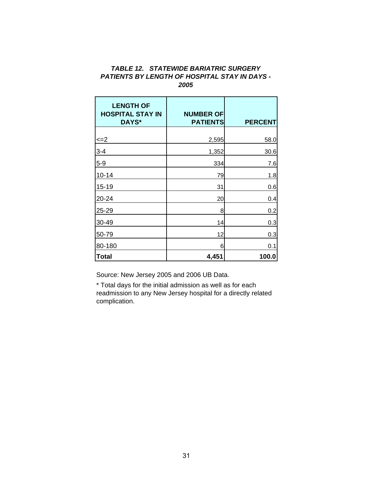#### *TABLE 12. STATEWIDE BARIATRIC SURGERY PATIENTS BY LENGTH OF HOSPITAL STAY IN DAYS - 2005*

| <b>LENGTH OF</b><br><b>HOSPITAL STAY IN</b><br>DAYS* | <b>NUMBER OF</b><br><b>PATIENTS</b> | <b>PERCENT</b> |
|------------------------------------------------------|-------------------------------------|----------------|
| $\leq$ $=$ 2                                         | 2,595                               | 58.0           |
| $3 - 4$                                              | 1,352                               | 30.6           |
| $5-9$                                                | 334                                 | 7.6            |
| $10 - 14$                                            | 79                                  | 1.8            |
| $15 - 19$                                            | 31                                  | 0.6            |
| 20-24                                                | 20                                  | 0.4            |
| 25-29                                                | 8                                   | 0.2            |
| 30-49                                                | 14                                  | 0.3            |
| 50-79                                                | 12                                  | 0.3            |
| 80-180                                               | 6                                   |                |
| Total                                                | 4,451                               | 0.1<br>100.0   |

Source: New Jersey 2005 and 2006 UB Data.

\* Total days for the initial admission as well as for each readmission to any New Jersey hospital for a directly related complication.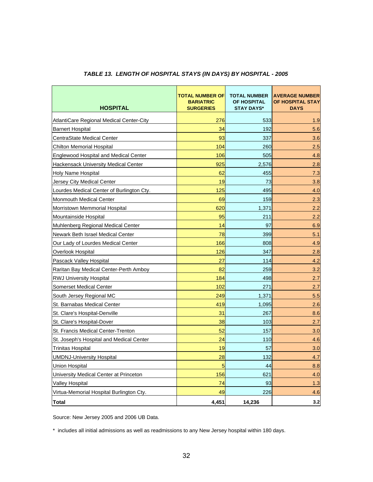| <b>HOSPITAL</b>                                 | TOTAL NUMBER OF<br><b>BARIATRIC</b><br><b>SURGERIES</b> | <b>TOTAL NUMBER</b><br>OF HOSPITAL<br><b>STAY DAYS*</b> | <b>AVERAGE NUMBER</b><br>OF HOSPITAL STAY<br><b>DAYS</b> |
|-------------------------------------------------|---------------------------------------------------------|---------------------------------------------------------|----------------------------------------------------------|
| <b>AtlantiCare Regional Medical Center-City</b> | 276                                                     | 533                                                     | 1.9                                                      |
| <b>Barnert Hospital</b>                         | 34                                                      | 192                                                     | 5.6                                                      |
| <b>CentraState Medical Center</b>               | 93                                                      | 337                                                     | 3.6                                                      |
| <b>Chilton Memorial Hospital</b>                | 104                                                     | 260                                                     | 2.5                                                      |
| <b>Englewood Hospital and Medical Center</b>    | 106                                                     | 505                                                     | 4.8                                                      |
| <b>Hackensack University Medical Center</b>     | 925                                                     | 2,576                                                   | 2.8                                                      |
| <b>Holy Name Hospital</b>                       | 62                                                      | 455                                                     | 7.3                                                      |
| Jersey City Medical Center                      | 19                                                      | 73                                                      | 3.8                                                      |
| Lourdes Medical Center of Burlington Cty.       | 125                                                     | 495                                                     | 4.0                                                      |
| <b>Monmouth Medical Center</b>                  | 69                                                      | 159                                                     | 2.3                                                      |
| Morristown Memmorial Hospital                   | 620                                                     | 1,371                                                   | 2.2                                                      |
| Mountainside Hospital                           | 95                                                      | 211                                                     | 2.2                                                      |
| Muhlenberg Regional Medical Center              | 14                                                      | 97                                                      | 6.9                                                      |
| Newark Beth Israel Medical Center               | 78                                                      | 399                                                     | 5.1                                                      |
| Our Lady of Lourdes Medical Center              | 166                                                     | 808                                                     | 4.9                                                      |
| Overlook Hospital                               | 126                                                     | 347                                                     | 2.8                                                      |
| Pascack Valley Hospital                         | 27                                                      | 114                                                     | 4.2                                                      |
| Raritan Bay Medical Center-Perth Amboy          | 82                                                      | 259                                                     | 3.2                                                      |
| RWJ University Hospital                         | 184                                                     | 498                                                     | 2.7                                                      |
| <b>Somerset Medical Center</b>                  | 102                                                     | 271                                                     | 2.7                                                      |
| South Jersey Regional MC                        | 249                                                     | 1,371                                                   | 5.5                                                      |
| St. Barnabas Medical Center                     | 419                                                     | 1,095                                                   | 2.6                                                      |
| St. Clare's Hospital-Denville                   | 31                                                      | 267                                                     | 8.6                                                      |
| St. Clare's Hospital-Dover                      | 38                                                      | 103                                                     | 2.7                                                      |
| St. Francis Medical Center-Trenton              | 52                                                      | 157                                                     | 3.0                                                      |
| St. Joseph's Hospital and Medical Center        | 24                                                      | 110                                                     | 4.6                                                      |
| <b>Trinitas Hospital</b>                        | 19                                                      | 57                                                      | 3.0                                                      |
| <b>UMDNJ-University Hospital</b>                | 28                                                      | 132                                                     | 4.7                                                      |
| <b>Union Hospital</b>                           | 5                                                       | 44                                                      | 8.8                                                      |
| University Medical Center at Princeton          | 156                                                     | 621                                                     | 4.0                                                      |
| Valley Hospital                                 | 74                                                      | 93                                                      | 1.3                                                      |
| Virtua-Memorial Hospital Burlington Cty.        | 49                                                      | 226                                                     | 4.6                                                      |
| <b>Total</b>                                    | 4,451                                                   | 14,236                                                  | 3.2                                                      |

#### *TABLE 13. LENGTH OF HOSPITAL STAYS (IN DAYS) BY HOSPITAL - 2005*

Source: New Jersey 2005 and 2006 UB Data.

\* includes all initial admissions as well as readmissions to any New Jersey hospital within 180 days.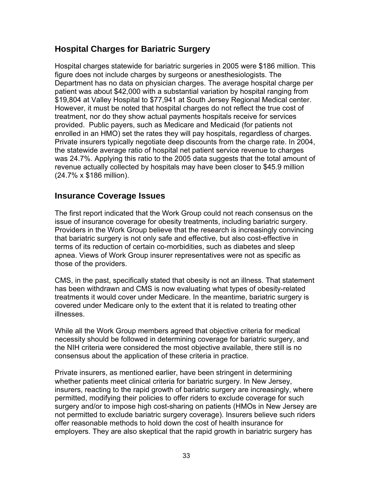# **Hospital Charges for Bariatric Surgery**

Hospital charges statewide for bariatric surgeries in 2005 were \$186 million. This figure does not include charges by surgeons or anesthesiologists. The Department has no data on physician charges. The average hospital charge per patient was about \$42,000 with a substantial variation by hospital ranging from \$19,804 at Valley Hospital to \$77,941 at South Jersey Regional Medical center. However, it must be noted that hospital charges do not reflect the true cost of treatment, nor do they show actual payments hospitals receive for services provided. Public payers, such as Medicare and Medicaid (for patients not enrolled in an HMO) set the rates they will pay hospitals, regardless of charges. Private insurers typically negotiate deep discounts from the charge rate. In 2004, the statewide average ratio of hospital net patient service revenue to charges was 24.7%. Applying this ratio to the 2005 data suggests that the total amount of revenue actually collected by hospitals may have been closer to \$45.9 million (24.7% x \$186 million).

### **Insurance Coverage Issues**

The first report indicated that the Work Group could not reach consensus on the issue of insurance coverage for obesity treatments, including bariatric surgery. Providers in the Work Group believe that the research is increasingly convincing that bariatric surgery is not only safe and effective, but also cost-effective in terms of its reduction of certain co-morbidities, such as diabetes and sleep apnea. Views of Work Group insurer representatives were not as specific as those of the providers.

CMS, in the past, specifically stated that obesity is not an illness. That statement has been withdrawn and CMS is now evaluating what types of obesity-related treatments it would cover under Medicare. In the meantime, bariatric surgery is covered under Medicare only to the extent that it is related to treating other illnesses.

While all the Work Group members agreed that objective criteria for medical necessity should be followed in determining coverage for bariatric surgery, and the NIH criteria were considered the most objective available, there still is no consensus about the application of these criteria in practice.

Private insurers, as mentioned earlier, have been stringent in determining whether patients meet clinical criteria for bariatric surgery. In New Jersey, insurers, reacting to the rapid growth of bariatric surgery are increasingly, where permitted, modifying their policies to offer riders to exclude coverage for such surgery and/or to impose high cost-sharing on patients (HMOs in New Jersey are not permitted to exclude bariatric surgery coverage). Insurers believe such riders offer reasonable methods to hold down the cost of health insurance for employers. They are also skeptical that the rapid growth in bariatric surgery has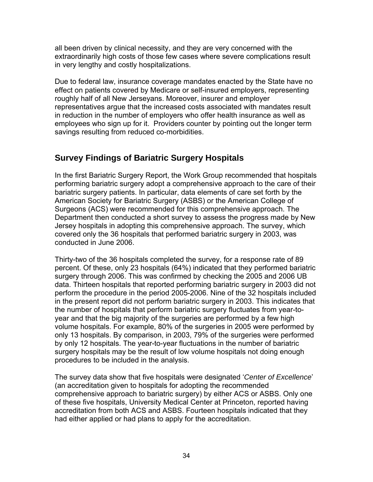all been driven by clinical necessity, and they are very concerned with the extraordinarily high costs of those few cases where severe complications result in very lengthy and costly hospitalizations.

Due to federal law, insurance coverage mandates enacted by the State have no effect on patients covered by Medicare or self-insured employers, representing roughly half of all New Jerseyans. Moreover, insurer and employer representatives argue that the increased costs associated with mandates result in reduction in the number of employers who offer health insurance as well as employees who sign up for it. Providers counter by pointing out the longer term savings resulting from reduced co-morbidities.

# **Survey Findings of Bariatric Surgery Hospitals**

In the first Bariatric Surgery Report, the Work Group recommended that hospitals performing bariatric surgery adopt a comprehensive approach to the care of their bariatric surgery patients. In particular, data elements of care set forth by the American Society for Bariatric Surgery (ASBS) or the American College of Surgeons (ACS) were recommended for this comprehensive approach. The Department then conducted a short survey to assess the progress made by New Jersey hospitals in adopting this comprehensive approach. The survey, which covered only the 36 hospitals that performed bariatric surgery in 2003, was conducted in June 2006.

Thirty-two of the 36 hospitals completed the survey, for a response rate of 89 percent. Of these, only 23 hospitals (64%) indicated that they performed bariatric surgery through 2006. This was confirmed by checking the 2005 and 2006 UB data. Thirteen hospitals that reported performing bariatric surgery in 2003 did not perform the procedure in the period 2005-2006. Nine of the 32 hospitals included in the present report did not perform bariatric surgery in 2003. This indicates that the number of hospitals that perform bariatric surgery fluctuates from year-toyear and that the big majority of the surgeries are performed by a few high volume hospitals. For example, 80% of the surgeries in 2005 were performed by only 13 hospitals. By comparison, in 2003, 79% of the surgeries were performed by only 12 hospitals. The year-to-year fluctuations in the number of bariatric surgery hospitals may be the result of low volume hospitals not doing enough procedures to be included in the analysis.

The survey data show that five hospitals were designated '*Center of Excellence*' (an accreditation given to hospitals for adopting the recommended comprehensive approach to bariatric surgery) by either ACS or ASBS. Only one of these five hospitals, University Medical Center at Princeton, reported having accreditation from both ACS and ASBS. Fourteen hospitals indicated that they had either applied or had plans to apply for the accreditation.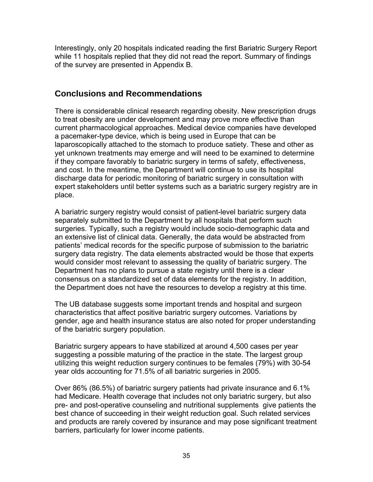Interestingly, only 20 hospitals indicated reading the first Bariatric Surgery Report while 11 hospitals replied that they did not read the report. Summary of findings of the survey are presented in Appendix B.

### **Conclusions and Recommendations**

There is considerable clinical research regarding obesity. New prescription drugs to treat obesity are under development and may prove more effective than current pharmacological approaches. Medical device companies have developed a pacemaker-type device, which is being used in Europe that can be laparoscopically attached to the stomach to produce satiety. These and other as yet unknown treatments may emerge and will need to be examined to determine if they compare favorably to bariatric surgery in terms of safety, effectiveness, and cost. In the meantime, the Department will continue to use its hospital discharge data for periodic monitoring of bariatric surgery in consultation with expert stakeholders until better systems such as a bariatric surgery registry are in place.

A bariatric surgery registry would consist of patient-level bariatric surgery data separately submitted to the Department by all hospitals that perform such surgeries. Typically, such a registry would include socio-demographic data and an extensive list of clinical data. Generally, the data would be abstracted from patients' medical records for the specific purpose of submission to the bariatric surgery data registry. The data elements abstracted would be those that experts would consider most relevant to assessing the quality of bariatric surgery. The Department has no plans to pursue a state registry until there is a clear consensus on a standardized set of data elements for the registry. In addition, the Department does not have the resources to develop a registry at this time.

The UB database suggests some important trends and hospital and surgeon characteristics that affect positive bariatric surgery outcomes. Variations by gender, age and health insurance status are also noted for proper understanding of the bariatric surgery population.

Bariatric surgery appears to have stabilized at around 4,500 cases per year suggesting a possible maturing of the practice in the state. The largest group utilizing this weight reduction surgery continues to be females (79%) with 30-54 year olds accounting for 71.5% of all bariatric surgeries in 2005.

Over 86% (86.5%) of bariatric surgery patients had private insurance and 6.1% had Medicare. Health coverage that includes not only bariatric surgery, but also pre- and post-operative counseling and nutritional supplements give patients the best chance of succeeding in their weight reduction goal. Such related services and products are rarely covered by insurance and may pose significant treatment barriers, particularly for lower income patients.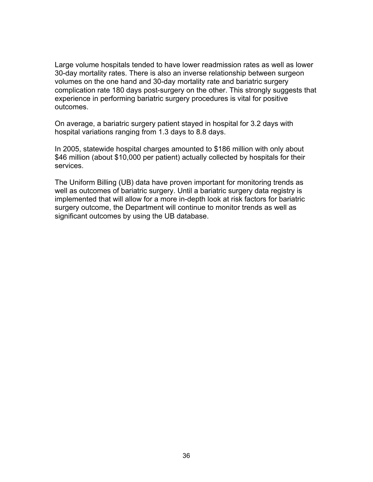Large volume hospitals tended to have lower readmission rates as well as lower 30-day mortality rates. There is also an inverse relationship between surgeon volumes on the one hand and 30-day mortality rate and bariatric surgery complication rate 180 days post-surgery on the other. This strongly suggests that experience in performing bariatric surgery procedures is vital for positive outcomes.

On average, a bariatric surgery patient stayed in hospital for 3.2 days with hospital variations ranging from 1.3 days to 8.8 days.

In 2005, statewide hospital charges amounted to \$186 million with only about \$46 million (about \$10,000 per patient) actually collected by hospitals for their services.

The Uniform Billing (UB) data have proven important for monitoring trends as well as outcomes of bariatric surgery. Until a bariatric surgery data registry is implemented that will allow for a more in-depth look at risk factors for bariatric surgery outcome, the Department will continue to monitor trends as well as significant outcomes by using the UB database.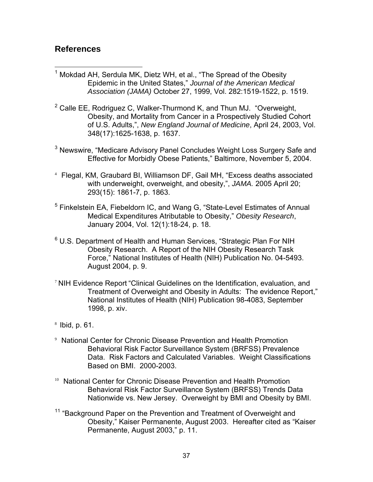### **References**

- 1 Mokdad AH, Serdula MK, Dietz WH, et al., "The Spread of the Obesity Epidemic in the United States," *Journal of the American Medical Association (JAMA)* October 27, 1999, Vol. 282:1519-1522, p. 1519.
- $2$  Calle EE, Rodriguez C, Walker-Thurmond K, and Thun MJ. "Overweight, Obesity, and Mortality from Cancer in a Prospectively Studied Cohort of U.S. Adults,", *New England Journal of Medicine*, April 24, 2003, Vol. 348(17):1625-1638, p. 1637.
- <sup>3</sup> Newswire, "Medicare Advisory Panel Concludes Weight Loss Surgery Safe and Effective for Morbidly Obese Patients," Baltimore, November 5, 2004.
- 4 Flegal, KM, Graubard BI, Williamson DF, Gail MH, "Excess deaths associated with underweight, overweight, and obesity,", *JAMA.* 2005 April 20; 293(15): 1861-7, p. 1863.
- <sup>5</sup> Finkelstein EA, Fiebeldorn IC, and Wang G, "State-Level Estimates of Annual Medical Expenditures Atributable to Obesity," *Obesity Research*, January 2004, Vol. 12(1):18-24, p. 18.
- <sup>6</sup> U.S. Department of Health and Human Services, "Strategic Plan For NIH Obesity Research. A Report of the NIH Obesity Research Task Force," National Institutes of Health (NIH) Publication No. 04-5493. August 2004, p. 9.
- <sup>7</sup> NIH Evidence Report "Clinical Guidelines on the Identification, evaluation, and Treatment of Overweight and Obesity in Adults: The evidence Report," National Institutes of Health (NIH) Publication 98-4083, September 1998, p. xiv.
- $8$  Ibid, p. 61.
- 9 National Center for Chronic Disease Prevention and Health Promotion Behavioral Risk Factor Surveillance System (BRFSS) Prevalence Data. Risk Factors and Calculated Variables. Weight Classifications Based on BMI. 2000-2003.
- <sup>10</sup> National Center for Chronic Disease Prevention and Health Promotion Behavioral Risk Factor Surveillance System (BRFSS) Trends Data Nationwide vs. New Jersey. Overweight by BMI and Obesity by BMI.
- "Background Paper on the Prevention and Treatment of Overweight and Obesity," Kaiser Permanente, August 2003. Hereafter cited as "Kaiser Permanente, August 2003," p. 11.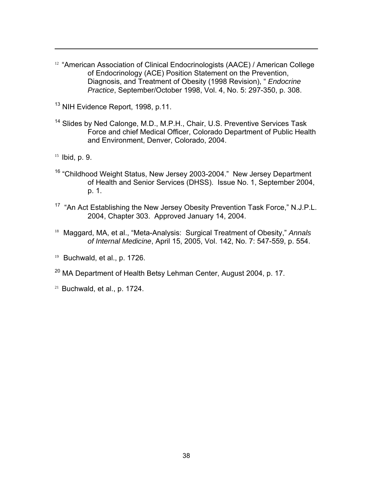- <span id="page-44-1"></span><span id="page-44-0"></span><sup>12</sup> "American Association of Clinical Endocrinologists (AACE) / American College of Endocrinology (ACE) Position Statement on the Prevention, Diagnosis, and Treatment of Obesity (1998 Revision), " *Endocrine Practice*, September/October 1998, Vol. 4, No. 5: 297-350, p. 308.
- <sup>13</sup> NIH Evidence Report, 1998, p.11.
- <sup>14</sup> Slides by Ned Calonge, M.D., M.P.H., Chair, U.S. Preventive Services Task Force and chief Medical Officer, Colorado Department of Public Health and Environment, Denver, Colorado, 2004.
- 15 Ibid, p. 9.

- <sup>16</sup> "Childhood Weight Status, New Jersey 2003-2004." New Jersey Department of Health and Senior Services (DHSS). Issue No. 1, September 2004, p. 1.
- <sup>17</sup> "An Act Establishing the New Jersey Obesity Prevention Task Force," N.J.P.L. 2004, Chapter 303. Approved January 14, 2004.
- 18 Maggard, MA, et al., "Meta-Analysis: Surgical Treatment of Obesity," *Annals of Internal Medicine*, April 15, 2005, Vol. 142, No. 7: 547-559, p. 554.
- $19$  Buchwald, et al., p. 1726.
- <sup>20</sup> MA Department of Health Betsy Lehman Center, August 2004, p. 17.
- $21$  Buchwald, et al., p. 1724.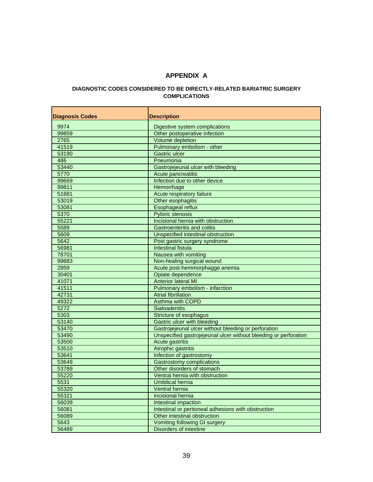#### **APPENDIX A**

#### **DIAGNOSTIC CODES CONSIDERED TO BE DIRECTLY-RELATED BARIATRIC SURGERY COMPLICATIONS**

| <b>Diagnosis Codes</b> | <b>Description</b>                                               |
|------------------------|------------------------------------------------------------------|
| 9974                   | Digestive system complications                                   |
| 99859                  | Other postoperative infection                                    |
| 2765                   | Volume depletion                                                 |
| 41519                  | Pulmonary embolism - other                                       |
| 53190                  | <b>Gastric ulcer</b>                                             |
| 486                    | Pneumonia                                                        |
| 53440                  | Gastrojejeunal ulcer with bleeding                               |
| 5770                   | Acute pancreatitis                                               |
| 99669                  | Infection due to other device                                    |
| 99811                  | Hemorrhage                                                       |
| 51881                  | Acute respiratory failure                                        |
| 53019                  | Other esophagitis                                                |
| 53081                  | Esophageal reflux                                                |
| 5370                   | <b>Pyloric stenosis</b>                                          |
| 55221                  | Incisional hernia with obstruction                               |
| 5589                   | <b>Gastroenteritis and colitis</b>                               |
| 5609                   | Unspecified intestinal obstruction                               |
| 5642                   | Post gastric surgery syndrome                                    |
| 56981                  | <b>Intestinal fistula</b>                                        |
| 78701                  | Nausea with vomiting                                             |
| 99883                  | Non-healing surgical wound                                       |
| 2859                   | Acute post-hemmorphagge anemia                                   |
| 30401                  | Opiate dependence                                                |
| 41071                  | <b>Anterior lateral MI</b>                                       |
| 41511                  | Pulmonary embolism - infarction                                  |
| 42731                  | <b>Atrial fibrillation</b>                                       |
| 49322                  | Asthma with COPD                                                 |
| 5272                   | <b>Sialoadenitis</b>                                             |
| 5303                   | Stricture of esophagus                                           |
| 53140                  | <b>Gastric ulcer with bleeding</b>                               |
| 53470                  | Gastrojejeunal ulcer without bleeding or perforation             |
| 53490                  | Unspecified gastrojejeunal ulcer without bleeding or perforation |
| 53500                  | <b>Acute gastritis</b>                                           |
| 53510                  | Atrophic gastritis                                               |
| 53641                  | Infection of gastrostomy                                         |
| 53649                  | <b>Gastrostomy complications</b>                                 |
| 53789                  | Other disorders of stomach                                       |
| 55220                  | Ventral hernia with obstruction                                  |
| 5531                   | Umbilical hernia                                                 |
| 55320                  | Ventral hernia                                                   |
| 55321                  | Incisional hernia                                                |
| 56039                  | Intestinal impaction                                             |
| 56081                  | Intestinal or peritoneal adhesions with obstruction              |
| 56089                  | Other intestinal obstruction                                     |
| 5643                   | Vomiting following GI surgery                                    |
| 56489                  | <b>Disorders of intestine</b>                                    |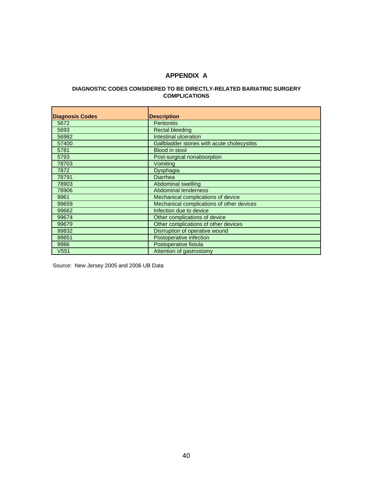#### **APPENDIX A**

#### **DIAGNOSTIC CODES CONSIDERED TO BE DIRECTLY-RELATED BARIATRIC SURGERY COMPLICATIONS**

| <b>Diagnosis Codes</b> | <b>Description</b>                          |
|------------------------|---------------------------------------------|
| 5672                   | <b>Peritonitis</b>                          |
| 5693                   | <b>Rectal bleeding</b>                      |
| 56982                  | Intestinal ulceration                       |
| 57400                  | Gallbladder stones with acute cholecystitis |
| 5781                   | <b>Blood in stool</b>                       |
| 5793                   | Post-surgical nonabsorption                 |
| 78703                  | Vomiting                                    |
| 7872                   | Dysphagia                                   |
| 78791                  | Diarrhea                                    |
| 78903                  | Abdominal swelling                          |
| 78906                  | Abdominal tenderness                        |
| 9961                   | Mechanical complications of device          |
| 99659                  | Mechanical complications of other devices   |
| 99662                  | Infection due to device                     |
| 99674                  | Other complications of device               |
| 99679                  | Other complications of other devices        |
| 99832                  | Disrruption of operative wound              |
| 99851                  | Postoperative infection                     |
| 9986                   | Postoperative fistula                       |
| V <sub>551</sub>       | Attention of gastrostomy                    |

Source: New Jersey 2005 and 2006 UB Data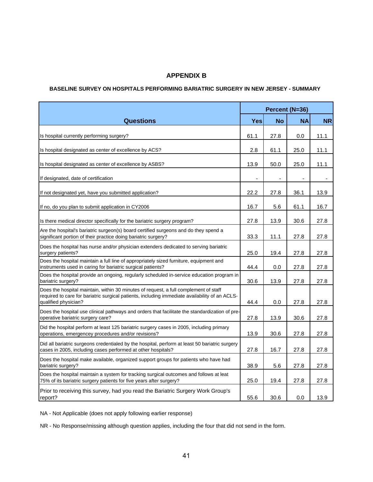#### **APPENDIX B**

#### **BASELINE SURVEY ON HOSPITALS PERFORMING BARIATRIC SURGERY IN NEW JERSEY - SUMMARY**

|                                                                                                                                                                                                                | Percent (N=36) |                |                |           |
|----------------------------------------------------------------------------------------------------------------------------------------------------------------------------------------------------------------|----------------|----------------|----------------|-----------|
| <b>Questions</b>                                                                                                                                                                                               | <b>Yes</b>     | <b>No</b>      | <b>NA</b>      | <b>NR</b> |
| Is hospital currently performing surgery?                                                                                                                                                                      | 61.1           | 27.8           | 0.0            | 11.1      |
| Is hospital designated as center of excellence by ACS?                                                                                                                                                         | 2.8            | 61.1           | 25.0           | 11.1      |
| Is hospital designated as center of excellence by ASBS?                                                                                                                                                        | 13.9           | 50.0           | 25.0           | 11.1      |
| If designated, date of certification                                                                                                                                                                           | $\blacksquare$ | $\blacksquare$ | $\blacksquare$ |           |
| If not designated yet, have you submitted application?                                                                                                                                                         | 22.2           | 27.8           | 36.1           | 13.9      |
| If no, do you plan to submit application in CY2006                                                                                                                                                             | 16.7           | 5.6            | 61.1           | 16.7      |
| Is there medical director specifically for the bariatric surgery program?                                                                                                                                      | 27.8           | 13.9           | 30.6           | 27.8      |
| Are the hospital's bariatric surgeon(s) board certified surgeons and do they spend a<br>significant portion of their practice doing bariatric surgery?                                                         | 33.3           | 11.1           | 27.8           | 27.8      |
| Does the hospital has nurse and/or physician extenders dedicated to serving bariatric<br>surgery patients?                                                                                                     | 25.0           | 19.4           | 27.8           | 27.8      |
| Does the hospital maintain a full line of appropriately sized furniture, equipment and<br>instruments used in caring for bariatric surgical patients?                                                          | 44.4           | 0.0            | 27.8           | 27.8      |
| Does the hospital provide an ongoing, regularly scheduled in-service education program in<br>bariatric surgery?                                                                                                | 30.6           | 13.9           | 27.8           | 27.8      |
| Does the hospital maintain, within 30 minutes of request, a full complement of staff<br>required to care for bariatric surgical patients, including immediate availability of an ACLS-<br>qualified physician? | 44.4           | 0.0            | 27.8           | 27.8      |
| Does the hospital use clinical pathways and orders that facilitate the standardization of pre-<br>operative bariatric surgery care?                                                                            | 27.8           | 13.9           | 30.6           | 27.8      |
| Did the hospital perform at least 125 bariatric surgery cases in 2005, including primary<br>operations, emergencey procedures and/or revisions?                                                                | 13.9           | 30.6           | 27.8           | 27.8      |
| Did all bariatric surgeons credentialed by the hospital, perform at least 50 bariatric surgery<br>cases in 2005, including cases performed at other hospitals?                                                 | 27.8           | 16.7           | 27.8           | 27.8      |
| Does the hospital make available, organized support groups for patients who have had<br>bariatric surgery?                                                                                                     | 38.9           | 5.6            | 27.8           | 27.8      |
| Does the hospital maintain a system for tracking surgical outcomes and follows at leat<br>75% of its bariatric surgery patients for five years after surgery?                                                  | 25.0           | 19.4           | 27.8           | 27.8      |
| Prior to receiving this survey, had you read the Bariatric Surgery Work Group's<br>report?                                                                                                                     | 55.6           | 30.6           | 0.0            | 13.9      |

NA - Not Applicable (does not apply following earlier response)

NR - No Response/missing although question applies, including the four that did not send in the form.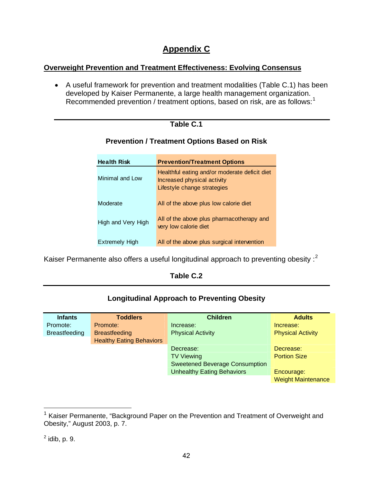# **Appendix C**

#### **Overweight Prevention and Treatment Effectiveness: Evolving Consensus**

• A useful framework for prevention and treatment modalities (Table C.1) has been developed by Kaiser Permanente, a large health management organization. Recommended prevention / treatment options, based on risk, are as follows:<sup>[1](#page-48-0)</sup>

#### **Table C.1**

| <b>Health Risk</b>    | <b>Prevention/Treatment Options</b>                                                                         |
|-----------------------|-------------------------------------------------------------------------------------------------------------|
| Minimal and Low       | Healthful eating and/or moderate deficit diet<br>Increased physical activity<br>Lifestyle change strategies |
| Moderate              | All of the above plus low calorie diet                                                                      |
| High and Very High    | All of the above plus pharmacotherapy and<br>very low calorie diet                                          |
| <b>Extremely High</b> | All of the above plus surgical intervention                                                                 |

#### **Prevention / Treatment Options Based on Risk**

Kaiser Permanente also offers a useful longitudinal approach to preventing obesity :<sup>[2](#page-48-1)</sup>

#### **Table C.2**

#### **Longitudinal Approach to Preventing Obesity**

| <b>Infants</b>       | <b>Toddlers</b>                 | <b>Children</b>                       | <b>Adults</b>             |
|----------------------|---------------------------------|---------------------------------------|---------------------------|
| Promote:             | Promote:                        | Increase:                             | Increase:                 |
| <b>Breastfeeding</b> | <b>Breastfeeding</b>            | <b>Physical Activity</b>              | <b>Physical Activity</b>  |
|                      | <b>Healthy Eating Behaviors</b> |                                       |                           |
|                      |                                 | Decrease:                             | Decrease:                 |
|                      |                                 | <b>TV Viewing</b>                     | <b>Portion Size</b>       |
|                      |                                 | <b>Sweetened Beverage Consumption</b> |                           |
|                      |                                 | <b>Unhealthy Eating Behaviors</b>     | Encourage:                |
|                      |                                 |                                       | <b>Weight Maintenance</b> |

<span id="page-48-0"></span><sup>&</sup>lt;sup>1</sup> Kaiser Permanente, "Background Paper on the Prevention and Treatment of Overweight and Obesity," August 2003, p. 7.

<span id="page-48-1"></span> $^2$  idib, p. 9.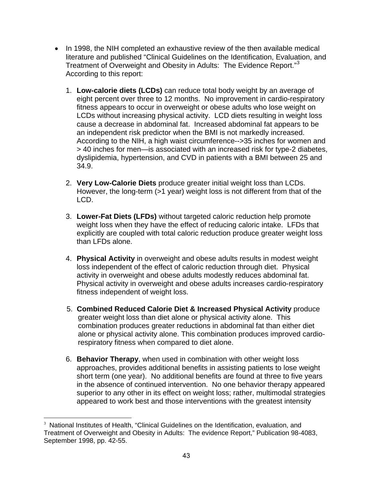- In 1998, the NIH completed an exhaustive review of the then available medical literature and published "Clinical Guidelines on the Identification, Evaluation, and Treatment of Overweight and Obesity in Adults: The Evidence Report."<sup>[3](#page-49-0)</sup> According to this report:
	- 1. **Low-calorie diets (LCDs)** can reduce total body weight by an average of eight percent over three to 12 months. No improvement in cardio-respiratory fitness appears to occur in overweight or obese adults who lose weight on LCDs without increasing physical activity. LCD diets resulting in weight loss cause a decrease in abdominal fat. Increased abdominal fat appears to be an independent risk predictor when the BMI is not markedly increased. According to the NIH, a high waist circumference-->35 inches for women and > 40 inches for men—is associated with an increased risk for type-2 diabetes, dyslipidemia, hypertension, and CVD in patients with a BMI between 25 and 34.9.
	- 2. **Very Low-Calorie Diets** produce greater initial weight loss than LCDs. However, the long-term (>1 year) weight loss is not different from that of the LCD.
	- 3. **Lower-Fat Diets (LFDs)** without targeted caloric reduction help promote weight loss when they have the effect of reducing caloric intake. LFDs that explicitly are coupled with total caloric reduction produce greater weight loss than LFDs alone.
	- 4. **Physical Activity** in overweight and obese adults results in modest weight loss independent of the effect of caloric reduction through diet. Physical activity in overweight and obese adults modestly reduces abdominal fat. Physical activity in overweight and obese adults increases cardio-respiratory fitness independent of weight loss.
	- 5. **Combined Reduced Calorie Diet & Increased Physical Activity** produce greater weight loss than diet alone or physical activity alone. This combination produces greater reductions in abdominal fat than either diet alone or physical activity alone. This combination produces improved cardiorespiratory fitness when compared to diet alone.
	- 6. **Behavior Therapy**, when used in combination with other weight loss approaches, provides additional benefits in assisting patients to lose weight short term (one year). No additional benefits are found at three to five years in the absence of continued intervention. No one behavior therapy appeared superior to any other in its effect on weight loss; rather, multimodal strategies appeared to work best and those interventions with the greatest intensity

<span id="page-49-0"></span> $\overline{a}$ <sup>3</sup> National Institutes of Health, "Clinical Guidelines on the Identification, evaluation, and Treatment of Overweight and Obesity in Adults: The evidence Report," Publication 98-4083, September 1998, pp. 42-55.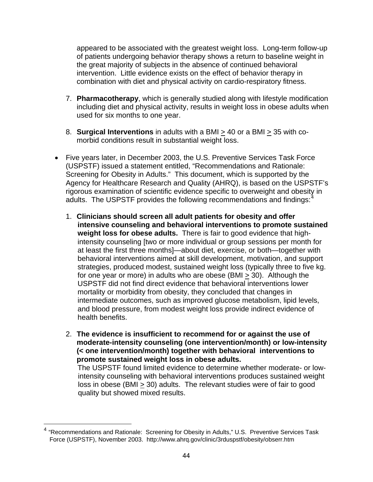appeared to be associated with the greatest weight loss. Long-term follow-up of patients undergoing behavior therapy shows a return to baseline weight in the great majority of subjects in the absence of continued behavioral intervention. Little evidence exists on the effect of behavior therapy in combination with diet and physical activity on cardio-respiratory fitness.

- 7. **Pharmacotherapy**, which is generally studied along with lifestyle modification including diet and physical activity, results in weight loss in obese adults when used for six months to one year.
- 8. **Surgical Interventions** in adults with a BMI > 40 or a BMI > 35 with comorbid conditions result in substantial weight loss.
- Five years later, in December 2003, the U.S. Preventive Services Task Force (USPSTF) issued a statement entitled, "Recommendations and Rationale: Screening for Obesity in Adults." This document, which is supported by the Agency for Healthcare Research and Quality (AHRQ), is based on the USPSTF's rigorous examination of scientific evidence specific to overweight and obesity in adults. The USPSTF provides the following recommendations and findings: $4$ 
	- 1. **Clinicians should screen all adult patients for obesity and offer intensive counseling and behavioral interventions to promote sustained weight loss for obese adults.** There is fair to good evidence that highintensity counseling [two or more individual or group sessions per month for at least the first three months]—about diet, exercise, or both—together with behavioral interventions aimed at skill development, motivation, and support strategies, produced modest, sustained weight loss (typically three to five kg. for one year or more) in adults who are obese (BMI > 30). Although the USPSTF did not find direct evidence that behavioral interventions lower mortality or morbidity from obesity, they concluded that changes in intermediate outcomes, such as improved glucose metabolism, lipid levels, and blood pressure, from modest weight loss provide indirect evidence of health benefits.
	- 2. **The evidence is insufficient to recommend for or against the use of moderate-intensity counseling (one intervention/month) or low-intensity (< one intervention/month) together with behavioral interventions to promote sustained weight loss in obese adults.** The USPSTF found limited evidence to determine whether moderate- or lowintensity counseling with behavioral interventions produces sustained weight loss in obese (BMI > 30) adults. The relevant studies were of fair to good quality but showed mixed results.

<span id="page-50-0"></span><sup>&</sup>lt;sup>4</sup> "Recommendations and Rationale: Screening for Obesity in Adults," U.S. Preventive Services Task Force (USPSTF), November 2003. http://www.ahrq.gov/clinic/3rduspstf/obesity/obserr.htm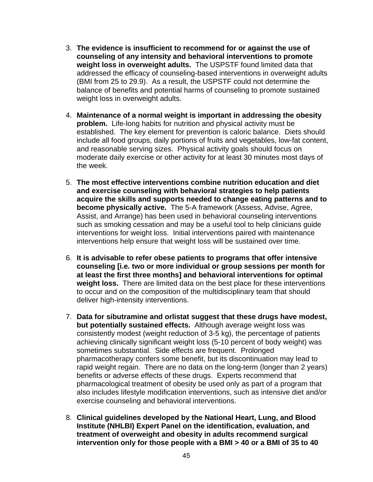- 3. **The evidence is insufficient to recommend for or against the use of counseling of any intensity and behavioral interventions to promote weight loss in overweight adults.** The USPSTF found limited data that addressed the efficacy of counseling-based interventions in overweight adults (BMI from 25 to 29.9). As a result, the USPSTF could not determine the balance of benefits and potential harms of counseling to promote sustained weight loss in overweight adults.
- 4. **Maintenance of a normal weight is important in addressing the obesity problem.** Life-long habits for nutrition and physical activity must be established. The key element for prevention is caloric balance. Diets should include all food groups, daily portions of fruits and vegetables, low-fat content, and reasonable serving sizes. Physical activity goals should focus on moderate daily exercise or other activity for at least 30 minutes most days of the week.
- 5. **The most effective interventions combine nutrition education and diet and exercise counseling with behavioral strategies to help patients acquire the skills and supports needed to change eating patterns and to become physically active.** The 5-A framework (Assess, Advise, Agree, Assist, and Arrange) has been used in behavioral counseling interventions such as smoking cessation and may be a useful tool to help clinicians guide interventions for weight loss. Initial interventions paired with maintenance interventions help ensure that weight loss will be sustained over time.
- 6. **It is advisable to refer obese patients to programs that offer intensive counseling [i.e. two or more individual or group sessions per month for at least the first three months] and behavioral interventions for optimal weight loss.** There are limited data on the best place for these interventions to occur and on the composition of the multidisciplinary team that should deliver high-intensity interventions.
- 7. **Data for sibutramine and orlistat suggest that these drugs have modest, but potentially sustained effects.** Although average weight loss was consistently modest (weight reduction of 3-5 kg), the percentage of patients achieving clinically significant weight loss (5-10 percent of body weight) was sometimes substantial. Side effects are frequent. Prolonged pharmacotherapy confers some benefit, but its discontinuation may lead to rapid weight regain. There are no data on the long-term (longer than 2 years) benefits or adverse effects of these drugs. Experts recommend that pharmacological treatment of obesity be used only as part of a program that also includes lifestyle modification interventions, such as intensive diet and/or exercise counseling and behavioral interventions.
- 8. **Clinical guidelines developed by the National Heart, Lung, and Blood Institute (NHLBI) Expert Panel on the identification, evaluation, and treatment of overweight and obesity in adults recommend surgical intervention only for those people with a BMI > 40 or a BMI of 35 to 40**